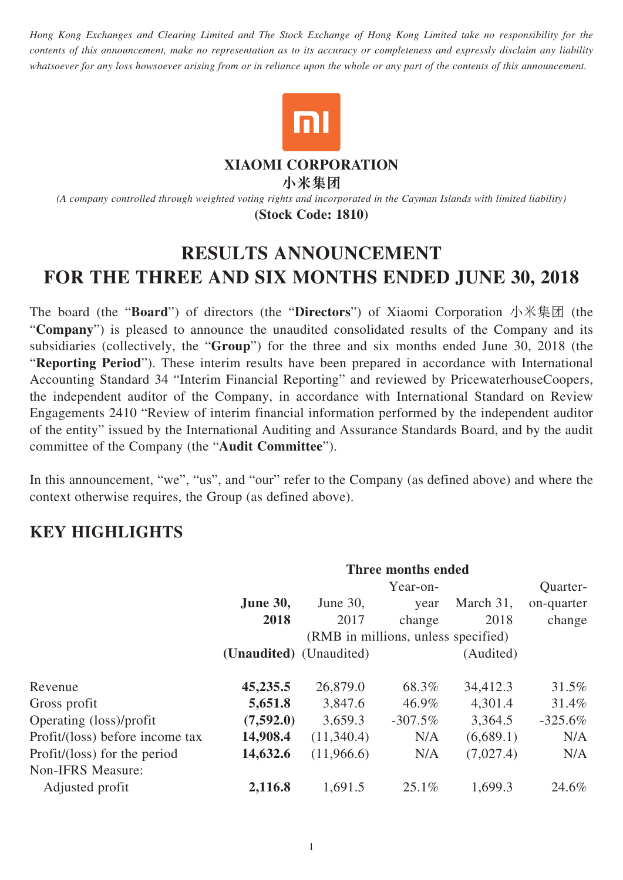*Hong Kong Exchanges and Clearing Limited and The Stock Exchange of Hong Kong Limited take no responsibility for the contents of this announcement, make no representation as to its accuracy or completeness and expressly disclaim any liability whatsoever for any loss howsoever arising from or in reliance upon the whole or any part of the contents of this announcement.*



#### **XIAOMI CORPORATION**

**小米集團**

*(A company controlled through weighted voting rights and incorporated in the Cayman Islands with limited liability)* **(Stock Code: 1810)**

# **RESULTS ANNOUNCEMENT FOR THE THREE AND SIX MONTHS ENDED JUNE 30, 2018**

The board (the "**Board**") of directors (the "**Directors**") of Xiaomi Corporation 小米集团 (the "**Company**") is pleased to announce the unaudited consolidated results of the Company and its subsidiaries (collectively, the "**Group**") for the three and six months ended June 30, 2018 (the "**Reporting Period**"). These interim results have been prepared in accordance with International Accounting Standard 34 "Interim Financial Reporting" and reviewed by PricewaterhouseCoopers, the independent auditor of the Company, in accordance with International Standard on Review Engagements 2410 "Review of interim financial information performed by the independent auditor of the entity" issued by the International Auditing and Assurance Standards Board, and by the audit committee of the Company (the "**Audit Committee**").

In this announcement, "we", "us", and "our" refer to the Company (as defined above) and where the context otherwise requires, the Group (as defined above).

# **KEY HIGHLIGHTS**

|                                 | Three months ended                  |             |            |           |            |
|---------------------------------|-------------------------------------|-------------|------------|-----------|------------|
|                                 | Quarter-<br>Year-on-                |             |            |           |            |
|                                 | <b>June 30,</b>                     | June $30$ , | year       | March 31, | on-quarter |
|                                 | 2018                                | 2017        | change     | 2018      | change     |
|                                 | (RMB in millions, unless specified) |             |            |           |            |
|                                 | (Unaudited) (Unaudited)             |             |            | (Audited) |            |
| Revenue                         | 45,235.5                            | 26,879.0    | 68.3%      | 34,412.3  | 31.5%      |
| Gross profit                    | 5,651.8                             | 3,847.6     | 46.9%      | 4,301.4   | 31.4%      |
| Operating (loss)/profit         | (7,592.0)                           | 3,659.3     | $-307.5\%$ | 3,364.5   | $-325.6\%$ |
| Profit/(loss) before income tax | 14,908.4                            | (11,340.4)  | N/A        | (6,689.1) | N/A        |
| Profit/(loss) for the period    | 14,632.6                            | (11,966.6)  | N/A        | (7,027.4) | N/A        |
| Non-IFRS Measure:               |                                     |             |            |           |            |
| Adjusted profit                 | 2,116.8                             | 1,691.5     | $25.1\%$   | 1,699.3   | 24.6%      |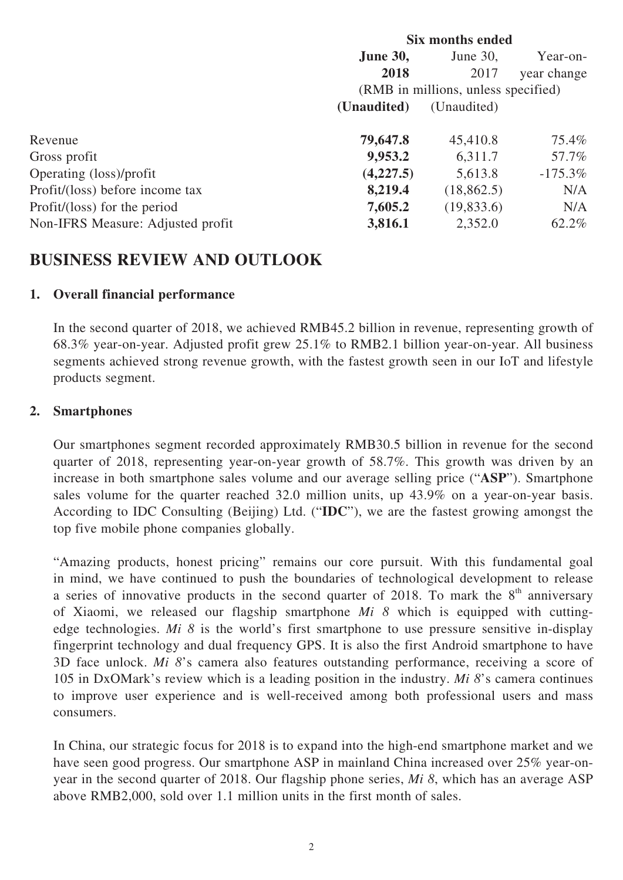|                                   | <b>Six months ended</b>        |                                     |             |  |
|-----------------------------------|--------------------------------|-------------------------------------|-------------|--|
|                                   | <b>June 30,</b><br>June $30$ , |                                     |             |  |
|                                   | 2018                           | 2017                                | year change |  |
|                                   |                                | (RMB in millions, unless specified) |             |  |
|                                   | (Unaudited)                    | (Unaudited)                         |             |  |
| Revenue                           | 79,647.8                       | 45,410.8                            | 75.4%       |  |
| Gross profit                      | 9,953.2                        | 6,311.7                             | 57.7%       |  |
| Operating (loss)/profit           | (4,227.5)                      | 5,613.8                             | $-175.3\%$  |  |
| Profit/(loss) before income tax   | 8,219.4                        | (18, 862.5)                         | N/A         |  |
| Profit/(loss) for the period      | 7,605.2                        | (19, 833.6)                         | N/A         |  |
| Non-IFRS Measure: Adjusted profit | 3,816.1                        | 2,352.0                             | 62.2%       |  |

# **BUSINESS REVIEW AND OUTLOOK**

## **1. Overall financial performance**

In the second quarter of 2018, we achieved RMB45.2 billion in revenue, representing growth of 68.3% year-on-year. Adjusted profit grew 25.1% to RMB2.1 billion year-on-year. All business segments achieved strong revenue growth, with the fastest growth seen in our IoT and lifestyle products segment.

## **2. Smartphones**

Our smartphones segment recorded approximately RMB30.5 billion in revenue for the second quarter of 2018, representing year-on-year growth of 58.7%. This growth was driven by an increase in both smartphone sales volume and our average selling price ("**ASP**"). Smartphone sales volume for the quarter reached 32.0 million units, up 43.9% on a year-on-year basis. According to IDC Consulting (Beijing) Ltd. ("**IDC**"), we are the fastest growing amongst the top five mobile phone companies globally.

"Amazing products, honest pricing" remains our core pursuit. With this fundamental goal in mind, we have continued to push the boundaries of technological development to release a series of innovative products in the second quarter of 2018. To mark the  $8<sup>th</sup>$  anniversary of Xiaomi, we released our flagship smartphone *Mi 8* which is equipped with cuttingedge technologies. *Mi 8* is the world's first smartphone to use pressure sensitive in-display fingerprint technology and dual frequency GPS. It is also the first Android smartphone to have 3D face unlock. *Mi 8*'s camera also features outstanding performance, receiving a score of 105 in DxOMark's review which is a leading position in the industry. *Mi 8*'s camera continues to improve user experience and is well-received among both professional users and mass consumers.

In China, our strategic focus for 2018 is to expand into the high-end smartphone market and we have seen good progress. Our smartphone ASP in mainland China increased over 25% year-onyear in the second quarter of 2018. Our flagship phone series, *Mi 8*, which has an average ASP above RMB2,000, sold over 1.1 million units in the first month of sales.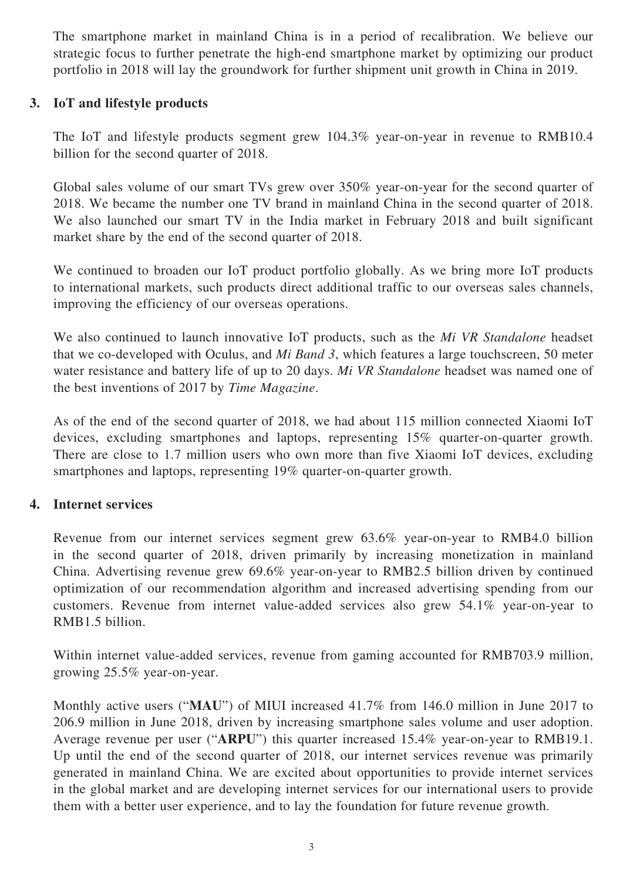The smartphone market in mainland China is in a period of recalibration. We believe our strategic focus to further penetrate the high-end smartphone market by optimizing our product portfolio in 2018 will lay the groundwork for further shipment unit growth in China in 2019.

## **3. IoT and lifestyle products**

The IoT and lifestyle products segment grew 104.3% year-on-year in revenue to RMB10.4 billion for the second quarter of 2018.

Global sales volume of our smart TVs grew over 350% year-on-year for the second quarter of 2018. We became the number one TV brand in mainland China in the second quarter of 2018. We also launched our smart TV in the India market in February 2018 and built significant market share by the end of the second quarter of 2018.

We continued to broaden our IoT product portfolio globally. As we bring more IoT products to international markets, such products direct additional traffic to our overseas sales channels, improving the efficiency of our overseas operations.

We also continued to launch innovative IoT products, such as the *Mi VR Standalone* headset that we co-developed with Oculus, and *Mi Band 3*, which features a large touchscreen, 50 meter water resistance and battery life of up to 20 days. *Mi VR Standalone* headset was named one of the best inventions of 2017 by *Time Magazine*.

As of the end of the second quarter of 2018, we had about 115 million connected Xiaomi IoT devices, excluding smartphones and laptops, representing 15% quarter-on-quarter growth. There are close to 1.7 million users who own more than five Xiaomi IoT devices, excluding smartphones and laptops, representing 19% quarter-on-quarter growth.

# **4. Internet services**

Revenue from our internet services segment grew 63.6% year-on-year to RMB4.0 billion in the second quarter of 2018, driven primarily by increasing monetization in mainland China. Advertising revenue grew 69.6% year-on-year to RMB2.5 billion driven by continued optimization of our recommendation algorithm and increased advertising spending from our customers. Revenue from internet value-added services also grew 54.1% year-on-year to RMB1.5 billion.

Within internet value-added services, revenue from gaming accounted for RMB703.9 million, growing 25.5% year-on-year.

Monthly active users ("**MAU**") of MIUI increased 41.7% from 146.0 million in June 2017 to 206.9 million in June 2018, driven by increasing smartphone sales volume and user adoption. Average revenue per user ("**ARPU**") this quarter increased 15.4% year-on-year to RMB19.1. Up until the end of the second quarter of 2018, our internet services revenue was primarily generated in mainland China. We are excited about opportunities to provide internet services in the global market and are developing internet services for our international users to provide them with a better user experience, and to lay the foundation for future revenue growth.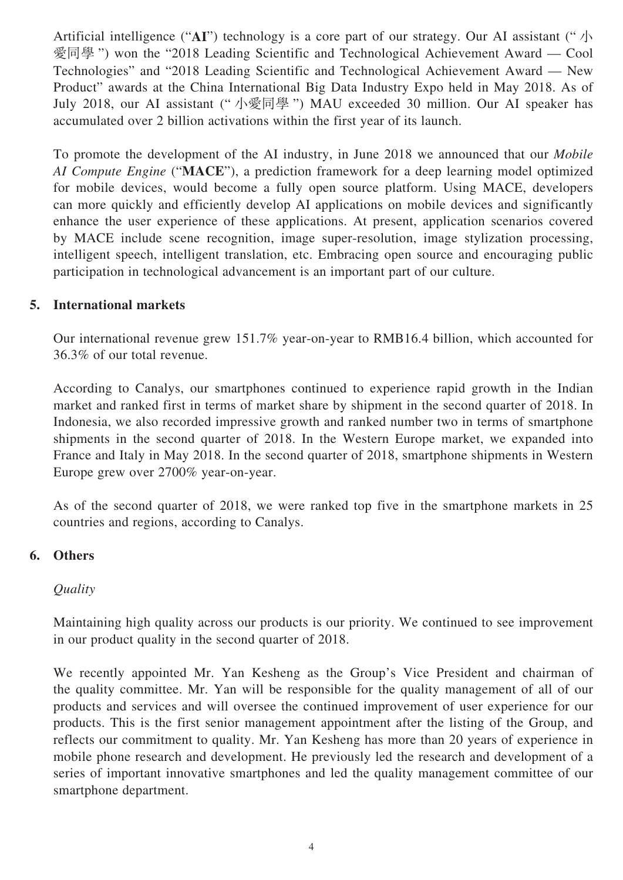Artificial intelligence ("AI") technology is a core part of our strategy. Our AI assistant (" $\Lambda$ ) 愛同學 ") won the "2018 Leading Scientific and Technological Achievement Award — Cool Technologies" and "2018 Leading Scientific and Technological Achievement Award — New Product" awards at the China International Big Data Industry Expo held in May 2018. As of July 2018, our AI assistant (" 小愛同學 ") MAU exceeded 30 million. Our AI speaker has accumulated over 2 billion activations within the first year of its launch.

To promote the development of the AI industry, in June 2018 we announced that our *Mobile AI Compute Engine* ("**MACE**"), a prediction framework for a deep learning model optimized for mobile devices, would become a fully open source platform. Using MACE, developers can more quickly and efficiently develop AI applications on mobile devices and significantly enhance the user experience of these applications. At present, application scenarios covered by MACE include scene recognition, image super-resolution, image stylization processing, intelligent speech, intelligent translation, etc. Embracing open source and encouraging public participation in technological advancement is an important part of our culture.

## **5. International markets**

Our international revenue grew 151.7% year-on-year to RMB16.4 billion, which accounted for 36.3% of our total revenue.

According to Canalys, our smartphones continued to experience rapid growth in the Indian market and ranked first in terms of market share by shipment in the second quarter of 2018. In Indonesia, we also recorded impressive growth and ranked number two in terms of smartphone shipments in the second quarter of 2018. In the Western Europe market, we expanded into France and Italy in May 2018. In the second quarter of 2018, smartphone shipments in Western Europe grew over 2700% year-on-year.

As of the second quarter of 2018, we were ranked top five in the smartphone markets in 25 countries and regions, according to Canalys.

### **6. Others**

### *Quality*

Maintaining high quality across our products is our priority. We continued to see improvement in our product quality in the second quarter of 2018.

We recently appointed Mr. Yan Kesheng as the Group's Vice President and chairman of the quality committee. Mr. Yan will be responsible for the quality management of all of our products and services and will oversee the continued improvement of user experience for our products. This is the first senior management appointment after the listing of the Group, and reflects our commitment to quality. Mr. Yan Kesheng has more than 20 years of experience in mobile phone research and development. He previously led the research and development of a series of important innovative smartphones and led the quality management committee of our smartphone department.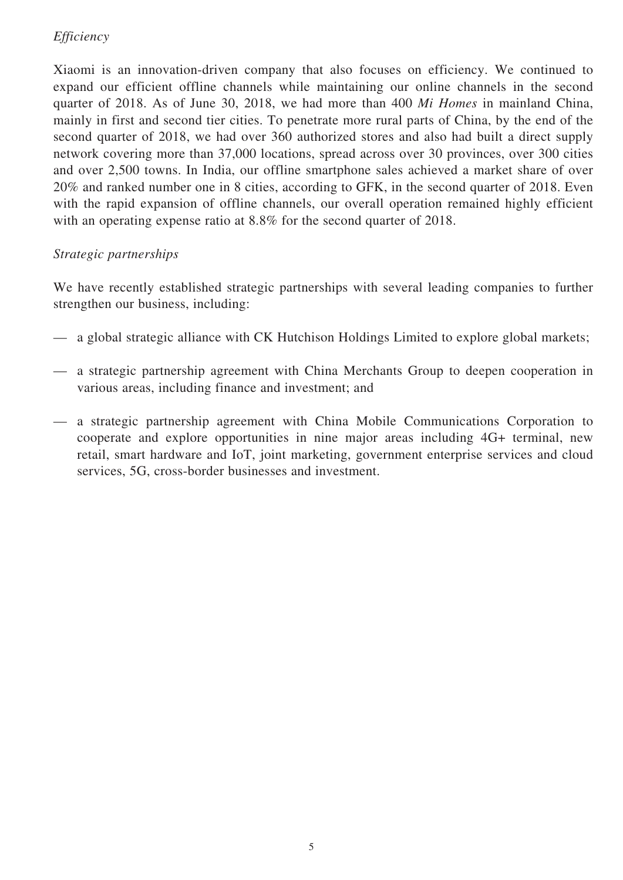# *Efficiency*

Xiaomi is an innovation-driven company that also focuses on efficiency. We continued to expand our efficient offline channels while maintaining our online channels in the second quarter of 2018. As of June 30, 2018, we had more than 400 *Mi Homes* in mainland China, mainly in first and second tier cities. To penetrate more rural parts of China, by the end of the second quarter of 2018, we had over 360 authorized stores and also had built a direct supply network covering more than 37,000 locations, spread across over 30 provinces, over 300 cities and over 2,500 towns. In India, our offline smartphone sales achieved a market share of over 20% and ranked number one in 8 cities, according to GFK, in the second quarter of 2018. Even with the rapid expansion of offline channels, our overall operation remained highly efficient with an operating expense ratio at 8.8% for the second quarter of 2018.

# *Strategic partnerships*

We have recently established strategic partnerships with several leading companies to further strengthen our business, including:

- a global strategic alliance with CK Hutchison Holdings Limited to explore global markets;
- a strategic partnership agreement with China Merchants Group to deepen cooperation in various areas, including finance and investment; and
- a strategic partnership agreement with China Mobile Communications Corporation to cooperate and explore opportunities in nine major areas including 4G+ terminal, new retail, smart hardware and IoT, joint marketing, government enterprise services and cloud services, 5G, cross-border businesses and investment.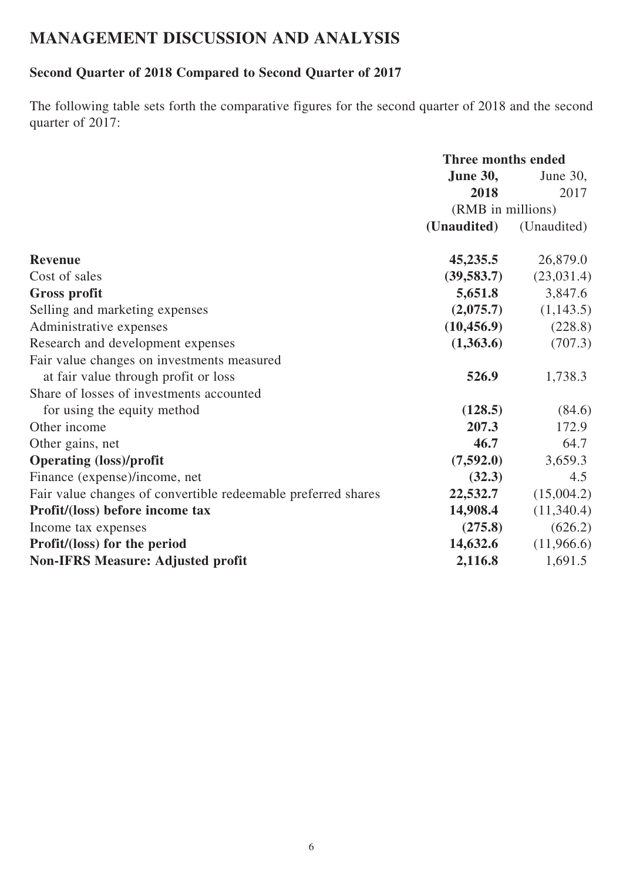# **MANAGEMENT DISCUSSION AND ANALYSIS**

# **Second Quarter of 2018 Compared to Second Quarter of 2017**

The following table sets forth the comparative figures for the second quarter of 2018 and the second quarter of 2017:

|                                                               | <b>Three months ended</b> |             |  |
|---------------------------------------------------------------|---------------------------|-------------|--|
|                                                               | <b>June 30,</b>           | June 30,    |  |
|                                                               | 2018                      | 2017        |  |
|                                                               | (RMB in millions)         |             |  |
|                                                               | (Unaudited)               | (Unaudited) |  |
| <b>Revenue</b>                                                | 45,235.5                  | 26,879.0    |  |
| Cost of sales                                                 | (39,583.7)                | (23,031.4)  |  |
| <b>Gross profit</b>                                           | 5,651.8                   | 3,847.6     |  |
| Selling and marketing expenses                                | (2,075.7)                 | (1,143.5)   |  |
| Administrative expenses                                       | (10, 456.9)               | (228.8)     |  |
| Research and development expenses                             | (1,363.6)                 | (707.3)     |  |
| Fair value changes on investments measured                    |                           |             |  |
| at fair value through profit or loss                          | 526.9                     | 1,738.3     |  |
| Share of losses of investments accounted                      |                           |             |  |
| for using the equity method                                   | (128.5)                   | (84.6)      |  |
| Other income                                                  | 207.3                     | 172.9       |  |
| Other gains, net                                              | 46.7                      | 64.7        |  |
| <b>Operating (loss)/profit</b>                                | (7,592.0)                 | 3,659.3     |  |
| Finance (expense)/income, net                                 | (32.3)                    | 4.5         |  |
| Fair value changes of convertible redeemable preferred shares | 22,532.7                  | (15,004.2)  |  |
| Profit/(loss) before income tax                               | 14,908.4                  | (11,340.4)  |  |
| Income tax expenses                                           | (275.8)                   | (626.2)     |  |
| Profit/(loss) for the period                                  | 14,632.6                  | (11,966.6)  |  |
| <b>Non-IFRS Measure: Adjusted profit</b>                      | 2,116.8                   | 1,691.5     |  |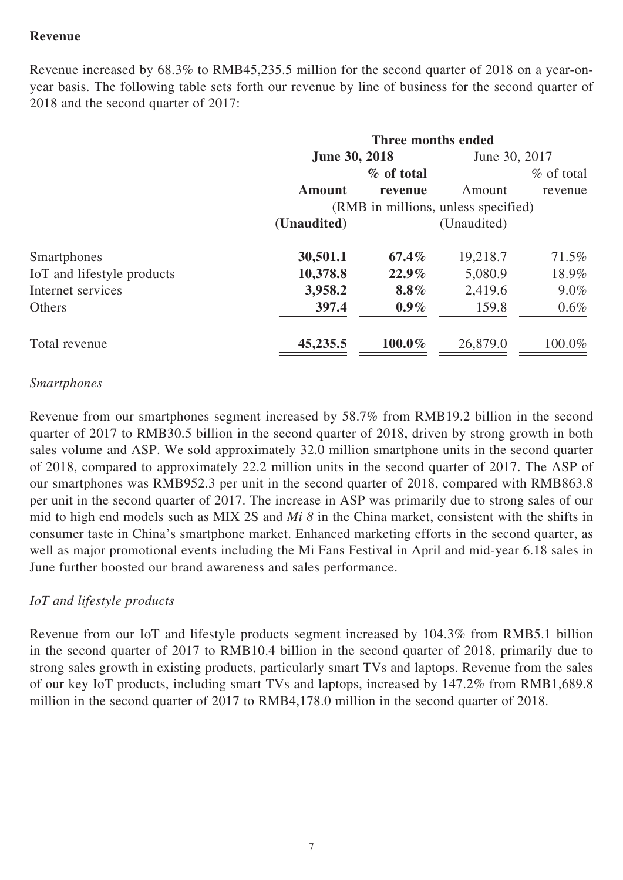# **Revenue**

Revenue increased by 68.3% to RMB45,235.5 million for the second quarter of 2018 on a year-onyear basis. The following table sets forth our revenue by line of business for the second quarter of 2018 and the second quarter of 2017:

|                            | Three months ended                  |            |               |               |
|----------------------------|-------------------------------------|------------|---------------|---------------|
|                            | <b>June 30, 2018</b>                |            | June 30, 2017 |               |
|                            |                                     | % of total |               | $\%$ of total |
|                            | <b>Amount</b>                       | revenue    | Amount        | revenue       |
|                            | (RMB in millions, unless specified) |            |               |               |
|                            | (Unaudited)                         |            | (Unaudited)   |               |
| Smartphones                | 30,501.1                            | $67.4\%$   | 19,218.7      | 71.5%         |
| IoT and lifestyle products | 10,378.8                            | $22.9\%$   | 5,080.9       | 18.9%         |
| Internet services          | 3,958.2                             | 8.8%       | 2,419.6       | $9.0\%$       |
| Others                     | 397.4                               | $0.9\%$    | 159.8         | $0.6\%$       |
| Total revenue              | 45,235.5                            | 100.0%     | 26,879.0      | 100.0%        |

#### *Smartphones*

Revenue from our smartphones segment increased by 58.7% from RMB19.2 billion in the second quarter of 2017 to RMB30.5 billion in the second quarter of 2018, driven by strong growth in both sales volume and ASP. We sold approximately 32.0 million smartphone units in the second quarter of 2018, compared to approximately 22.2 million units in the second quarter of 2017. The ASP of our smartphones was RMB952.3 per unit in the second quarter of 2018, compared with RMB863.8 per unit in the second quarter of 2017. The increase in ASP was primarily due to strong sales of our mid to high end models such as MIX 2S and *Mi 8* in the China market, consistent with the shifts in consumer taste in China's smartphone market. Enhanced marketing efforts in the second quarter, as well as major promotional events including the Mi Fans Festival in April and mid-year 6.18 sales in June further boosted our brand awareness and sales performance.

### *IoT and lifestyle products*

Revenue from our IoT and lifestyle products segment increased by 104.3% from RMB5.1 billion in the second quarter of 2017 to RMB10.4 billion in the second quarter of 2018, primarily due to strong sales growth in existing products, particularly smart TVs and laptops. Revenue from the sales of our key IoT products, including smart TVs and laptops, increased by 147.2% from RMB1,689.8 million in the second quarter of 2017 to RMB4,178.0 million in the second quarter of 2018.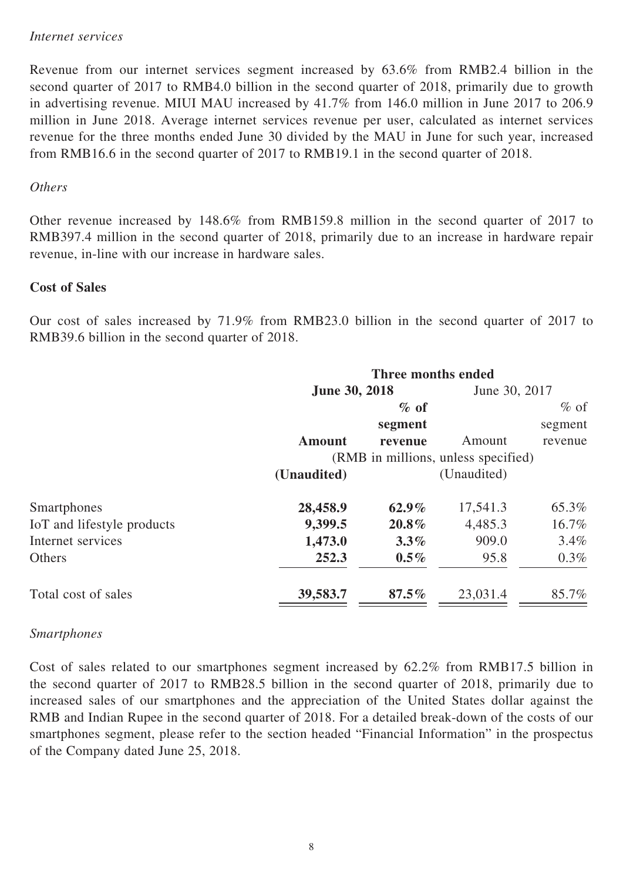#### *Internet services*

Revenue from our internet services segment increased by 63.6% from RMB2.4 billion in the second quarter of 2017 to RMB4.0 billion in the second quarter of 2018, primarily due to growth in advertising revenue. MIUI MAU increased by 41.7% from 146.0 million in June 2017 to 206.9 million in June 2018. Average internet services revenue per user, calculated as internet services revenue for the three months ended June 30 divided by the MAU in June for such year, increased from RMB16.6 in the second quarter of 2017 to RMB19.1 in the second quarter of 2018.

#### *Others*

Other revenue increased by 148.6% from RMB159.8 million in the second quarter of 2017 to RMB397.4 million in the second quarter of 2018, primarily due to an increase in hardware repair revenue, in-line with our increase in hardware sales.

#### **Cost of Sales**

Our cost of sales increased by 71.9% from RMB23.0 billion in the second quarter of 2017 to RMB39.6 billion in the second quarter of 2018.

| Three months ended                  |          |                      |               |  |
|-------------------------------------|----------|----------------------|---------------|--|
|                                     |          |                      | June 30, 2017 |  |
|                                     | $\%$ of  |                      | $%$ of        |  |
|                                     | segment  |                      | segment       |  |
| <b>Amount</b>                       | revenue  | Amount               | revenue       |  |
| (RMB in millions, unless specified) |          |                      |               |  |
| (Unaudited)                         |          | (Unaudited)          |               |  |
| 28,458.9                            | $62.9\%$ | 17,541.3             | 65.3%         |  |
| 9,399.5                             | 20.8%    | 4,485.3              | 16.7%         |  |
| 1,473.0                             | $3.3\%$  | 909.0                | $3.4\%$       |  |
| 252.3                               | $0.5\%$  | 95.8                 | $0.3\%$       |  |
| 39,583.7                            | $87.5\%$ | 23,031.4             | 85.7%         |  |
|                                     |          | <b>June 30, 2018</b> |               |  |

### *Smartphones*

Cost of sales related to our smartphones segment increased by 62.2% from RMB17.5 billion in the second quarter of 2017 to RMB28.5 billion in the second quarter of 2018, primarily due to increased sales of our smartphones and the appreciation of the United States dollar against the RMB and Indian Rupee in the second quarter of 2018. For a detailed break-down of the costs of our smartphones segment, please refer to the section headed "Financial Information" in the prospectus of the Company dated June 25, 2018.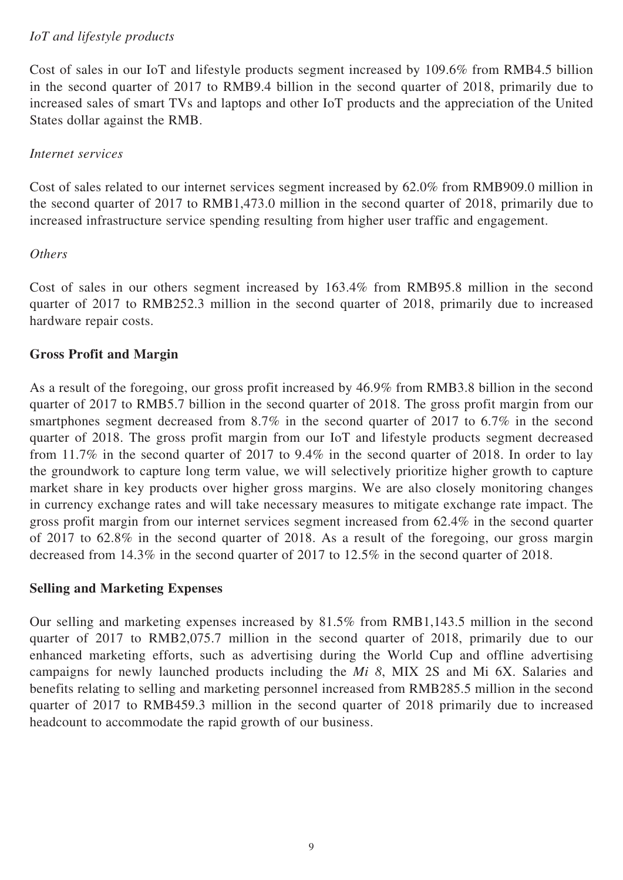# *IoT and lifestyle products*

Cost of sales in our IoT and lifestyle products segment increased by 109.6% from RMB4.5 billion in the second quarter of 2017 to RMB9.4 billion in the second quarter of 2018, primarily due to increased sales of smart TVs and laptops and other IoT products and the appreciation of the United States dollar against the RMB.

## *Internet services*

Cost of sales related to our internet services segment increased by 62.0% from RMB909.0 million in the second quarter of 2017 to RMB1,473.0 million in the second quarter of 2018, primarily due to increased infrastructure service spending resulting from higher user traffic and engagement.

## *Others*

Cost of sales in our others segment increased by 163.4% from RMB95.8 million in the second quarter of 2017 to RMB252.3 million in the second quarter of 2018, primarily due to increased hardware repair costs.

## **Gross Profit and Margin**

As a result of the foregoing, our gross profit increased by 46.9% from RMB3.8 billion in the second quarter of 2017 to RMB5.7 billion in the second quarter of 2018. The gross profit margin from our smartphones segment decreased from 8.7% in the second quarter of 2017 to 6.7% in the second quarter of 2018. The gross profit margin from our IoT and lifestyle products segment decreased from 11.7% in the second quarter of 2017 to 9.4% in the second quarter of 2018. In order to lay the groundwork to capture long term value, we will selectively prioritize higher growth to capture market share in key products over higher gross margins. We are also closely monitoring changes in currency exchange rates and will take necessary measures to mitigate exchange rate impact. The gross profit margin from our internet services segment increased from 62.4% in the second quarter of 2017 to 62.8% in the second quarter of 2018. As a result of the foregoing, our gross margin decreased from 14.3% in the second quarter of 2017 to 12.5% in the second quarter of 2018.

### **Selling and Marketing Expenses**

Our selling and marketing expenses increased by 81.5% from RMB1,143.5 million in the second quarter of 2017 to RMB2,075.7 million in the second quarter of 2018, primarily due to our enhanced marketing efforts, such as advertising during the World Cup and offline advertising campaigns for newly launched products including the *Mi 8*, MIX 2S and Mi 6X. Salaries and benefits relating to selling and marketing personnel increased from RMB285.5 million in the second quarter of 2017 to RMB459.3 million in the second quarter of 2018 primarily due to increased headcount to accommodate the rapid growth of our business.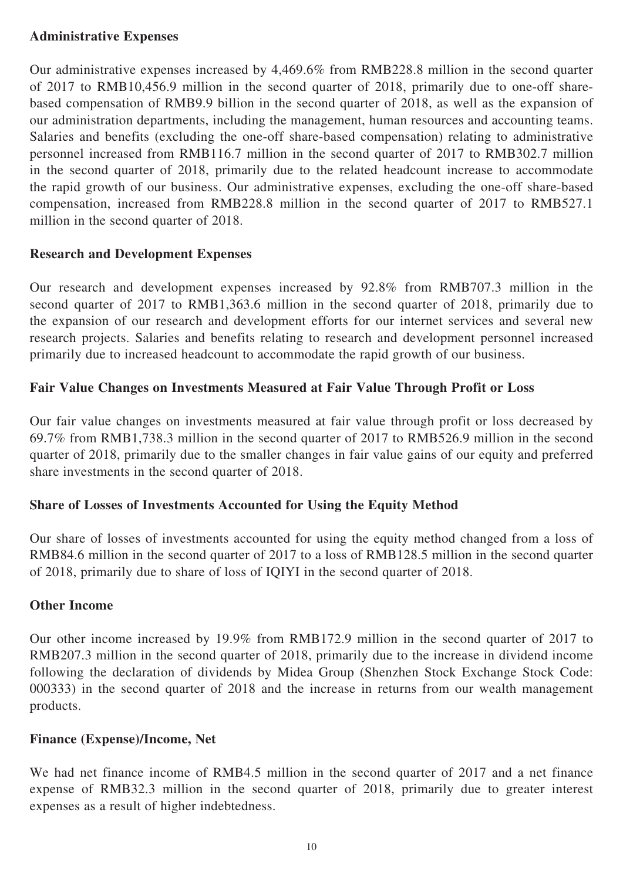# **Administrative Expenses**

Our administrative expenses increased by 4,469.6% from RMB228.8 million in the second quarter of 2017 to RMB10,456.9 million in the second quarter of 2018, primarily due to one-off sharebased compensation of RMB9.9 billion in the second quarter of 2018, as well as the expansion of our administration departments, including the management, human resources and accounting teams. Salaries and benefits (excluding the one-off share-based compensation) relating to administrative personnel increased from RMB116.7 million in the second quarter of 2017 to RMB302.7 million in the second quarter of 2018, primarily due to the related headcount increase to accommodate the rapid growth of our business. Our administrative expenses, excluding the one-off share-based compensation, increased from RMB228.8 million in the second quarter of 2017 to RMB527.1 million in the second quarter of 2018.

## **Research and Development Expenses**

Our research and development expenses increased by 92.8% from RMB707.3 million in the second quarter of 2017 to RMB1,363.6 million in the second quarter of 2018, primarily due to the expansion of our research and development efforts for our internet services and several new research projects. Salaries and benefits relating to research and development personnel increased primarily due to increased headcount to accommodate the rapid growth of our business.

## **Fair Value Changes on Investments Measured at Fair Value Through Profit or Loss**

Our fair value changes on investments measured at fair value through profit or loss decreased by 69.7% from RMB1,738.3 million in the second quarter of 2017 to RMB526.9 million in the second quarter of 2018, primarily due to the smaller changes in fair value gains of our equity and preferred share investments in the second quarter of 2018.

# **Share of Losses of Investments Accounted for Using the Equity Method**

Our share of losses of investments accounted for using the equity method changed from a loss of RMB84.6 million in the second quarter of 2017 to a loss of RMB128.5 million in the second quarter of 2018, primarily due to share of loss of IQIYI in the second quarter of 2018.

### **Other Income**

Our other income increased by 19.9% from RMB172.9 million in the second quarter of 2017 to RMB207.3 million in the second quarter of 2018, primarily due to the increase in dividend income following the declaration of dividends by Midea Group (Shenzhen Stock Exchange Stock Code: 000333) in the second quarter of 2018 and the increase in returns from our wealth management products.

### **Finance (Expense)/Income, Net**

We had net finance income of RMB4.5 million in the second quarter of 2017 and a net finance expense of RMB32.3 million in the second quarter of 2018, primarily due to greater interest expenses as a result of higher indebtedness.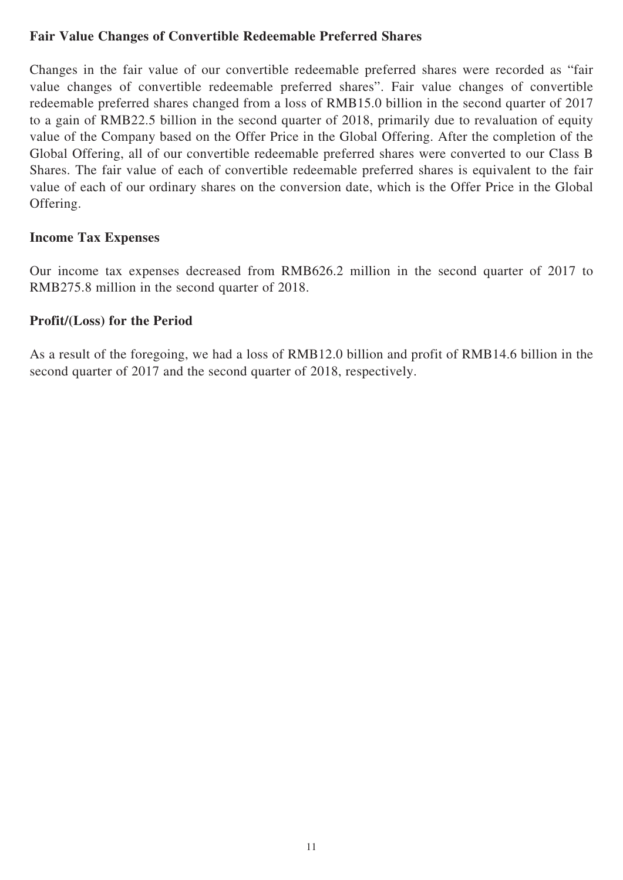## **Fair Value Changes of Convertible Redeemable Preferred Shares**

Changes in the fair value of our convertible redeemable preferred shares were recorded as "fair value changes of convertible redeemable preferred shares". Fair value changes of convertible redeemable preferred shares changed from a loss of RMB15.0 billion in the second quarter of 2017 to a gain of RMB22.5 billion in the second quarter of 2018, primarily due to revaluation of equity value of the Company based on the Offer Price in the Global Offering. After the completion of the Global Offering, all of our convertible redeemable preferred shares were converted to our Class B Shares. The fair value of each of convertible redeemable preferred shares is equivalent to the fair value of each of our ordinary shares on the conversion date, which is the Offer Price in the Global Offering.

### **Income Tax Expenses**

Our income tax expenses decreased from RMB626.2 million in the second quarter of 2017 to RMB275.8 million in the second quarter of 2018.

### **Profit/(Loss) for the Period**

As a result of the foregoing, we had a loss of RMB12.0 billion and profit of RMB14.6 billion in the second quarter of 2017 and the second quarter of 2018, respectively.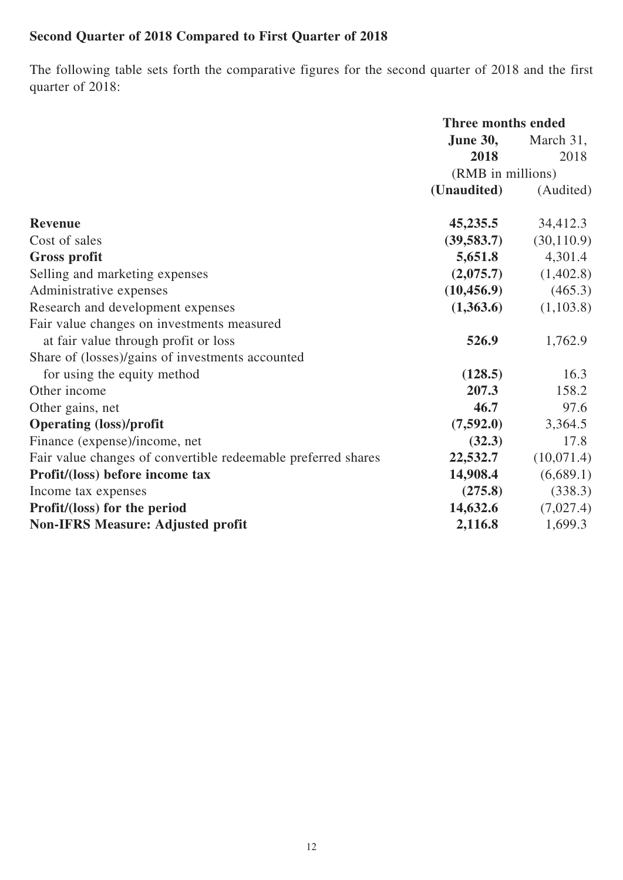# **Second Quarter of 2018 Compared to First Quarter of 2018**

The following table sets forth the comparative figures for the second quarter of 2018 and the first quarter of 2018:

|                                                               | <b>Three months ended</b> |                         |  |
|---------------------------------------------------------------|---------------------------|-------------------------|--|
|                                                               | <b>June 30,</b>           | March 31,               |  |
|                                                               | 2018                      | 2018                    |  |
|                                                               | (RMB in millions)         |                         |  |
|                                                               | (Unaudited)               | (Audited)               |  |
| <b>Revenue</b>                                                | 45,235.5                  | 34,412.3                |  |
| Cost of sales                                                 | (39,583.7)                | (30, 110.9)             |  |
| <b>Gross profit</b>                                           | 5,651.8                   | 4,301.4                 |  |
| Selling and marketing expenses                                |                           | $(2,075.7)$ $(1,402.8)$ |  |
| Administrative expenses                                       | (10, 456.9)               | (465.3)                 |  |
| Research and development expenses                             | (1,363.6)                 | (1,103.8)               |  |
| Fair value changes on investments measured                    |                           |                         |  |
| at fair value through profit or loss                          | 526.9                     | 1,762.9                 |  |
| Share of (losses)/gains of investments accounted              |                           |                         |  |
| for using the equity method                                   | (128.5)                   | 16.3                    |  |
| Other income                                                  | 207.3                     | 158.2                   |  |
| Other gains, net                                              | 46.7                      | 97.6                    |  |
| <b>Operating (loss)/profit</b>                                | (7,592.0)                 | 3,364.5                 |  |
| Finance (expense)/income, net                                 | (32.3)                    | 17.8                    |  |
| Fair value changes of convertible redeemable preferred shares | 22,532.7                  | (10,071.4)              |  |
| Profit/(loss) before income tax                               | 14,908.4                  | (6,689.1)               |  |
| Income tax expenses                                           | (275.8)                   | (338.3)                 |  |
| Profit/(loss) for the period                                  | 14,632.6                  | (7,027.4)               |  |
| <b>Non-IFRS Measure: Adjusted profit</b>                      | 2,116.8                   | 1,699.3                 |  |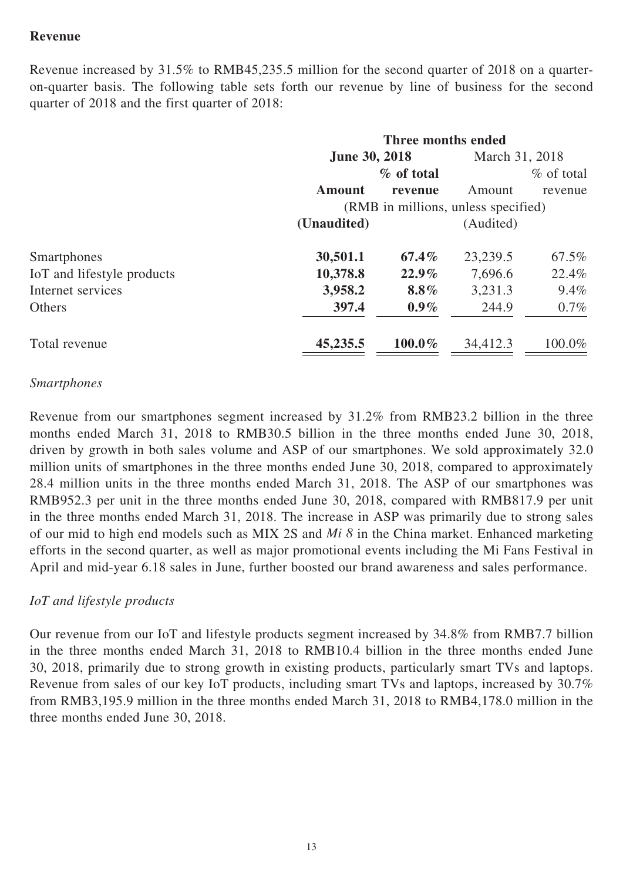## **Revenue**

Revenue increased by 31.5% to RMB45,235.5 million for the second quarter of 2018 on a quarteron-quarter basis. The following table sets forth our revenue by line of business for the second quarter of 2018 and the first quarter of 2018:

|                            | Three months ended                  |            |                |               |
|----------------------------|-------------------------------------|------------|----------------|---------------|
|                            | <b>June 30, 2018</b>                |            | March 31, 2018 |               |
|                            |                                     | % of total |                | $\%$ of total |
|                            | <b>Amount</b>                       | revenue    | Amount         | revenue       |
|                            | (RMB in millions, unless specified) |            |                |               |
|                            | (Unaudited)                         |            | (Audited)      |               |
| Smartphones                | 30,501.1                            | $67.4\%$   | 23,239.5       | 67.5%         |
| IoT and lifestyle products | 10,378.8                            | $22.9\%$   | 7,696.6        | 22.4%         |
| Internet services          | 3,958.2                             | $8.8\%$    | 3,231.3        | $9.4\%$       |
| <b>Others</b>              | 397.4                               | $0.9\%$    | 244.9          | $0.7\%$       |
| Total revenue              | 45,235.5                            | 100.0%     | 34,412.3       | 100.0%        |

#### *Smartphones*

Revenue from our smartphones segment increased by 31.2% from RMB23.2 billion in the three months ended March 31, 2018 to RMB30.5 billion in the three months ended June 30, 2018, driven by growth in both sales volume and ASP of our smartphones. We sold approximately 32.0 million units of smartphones in the three months ended June 30, 2018, compared to approximately 28.4 million units in the three months ended March 31, 2018. The ASP of our smartphones was RMB952.3 per unit in the three months ended June 30, 2018, compared with RMB817.9 per unit in the three months ended March 31, 2018. The increase in ASP was primarily due to strong sales of our mid to high end models such as MIX 2S and *Mi 8* in the China market. Enhanced marketing efforts in the second quarter, as well as major promotional events including the Mi Fans Festival in April and mid-year 6.18 sales in June, further boosted our brand awareness and sales performance.

### *IoT and lifestyle products*

Our revenue from our IoT and lifestyle products segment increased by 34.8% from RMB7.7 billion in the three months ended March 31, 2018 to RMB10.4 billion in the three months ended June 30, 2018, primarily due to strong growth in existing products, particularly smart TVs and laptops. Revenue from sales of our key IoT products, including smart TVs and laptops, increased by 30.7% from RMB3,195.9 million in the three months ended March 31, 2018 to RMB4,178.0 million in the three months ended June 30, 2018.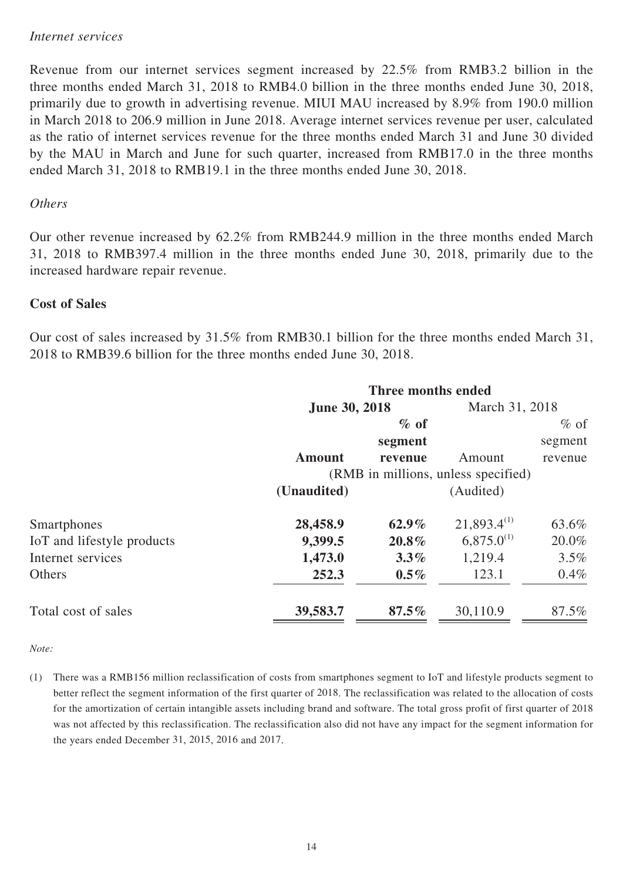#### *Internet services*

Revenue from our internet services segment increased by 22.5% from RMB3.2 billion in the three months ended March 31, 2018 to RMB4.0 billion in the three months ended June 30, 2018, primarily due to growth in advertising revenue. MIUI MAU increased by 8.9% from 190.0 million in March 2018 to 206.9 million in June 2018. Average internet services revenue per user, calculated as the ratio of internet services revenue for the three months ended March 31 and June 30 divided by the MAU in March and June for such quarter, increased from RMB17.0 in the three months ended March 31, 2018 to RMB19.1 in the three months ended June 30, 2018.

#### *Others*

Our other revenue increased by 62.2% from RMB244.9 million in the three months ended March 31, 2018 to RMB397.4 million in the three months ended June 30, 2018, primarily due to the increased hardware repair revenue.

#### **Cost of Sales**

Our cost of sales increased by 31.5% from RMB30.1 billion for the three months ended March 31, 2018 to RMB39.6 billion for the three months ended June 30, 2018.

|                            | Three months ended                  |          |                  |         |
|----------------------------|-------------------------------------|----------|------------------|---------|
|                            | <b>June 30, 2018</b>                |          | March 31, 2018   |         |
|                            |                                     | $\%$ of  |                  | $%$ of  |
|                            |                                     | segment  |                  | segment |
|                            | <b>Amount</b>                       | revenue  | Amount           | revenue |
|                            | (RMB in millions, unless specified) |          |                  |         |
|                            | (Unaudited)                         |          | (Audited)        |         |
| Smartphones                | 28,458.9                            | $62.9\%$ | $21,893.4^{(1)}$ | 63.6%   |
| IoT and lifestyle products | 9,399.5                             | $20.8\%$ | $6,875.0^{(1)}$  | 20.0%   |
| Internet services          | 1,473.0                             | $3.3\%$  | 1,219.4          | $3.5\%$ |
| Others                     | 252.3                               | $0.5\%$  | 123.1            | $0.4\%$ |
| Total cost of sales        | 39,583.7                            | $87.5\%$ | 30,110.9         | 87.5%   |

*Note:*

(1) There was a RMB156 million reclassification of costs from smartphones segment to IoT and lifestyle products segment to better reflect the segment information of the first quarter of 2018. The reclassification was related to the allocation of costs for the amortization of certain intangible assets including brand and software. The total gross profit of first quarter of 2018 was not affected by this reclassification. The reclassification also did not have any impact for the segment information for the years ended December 31, 2015, 2016 and 2017.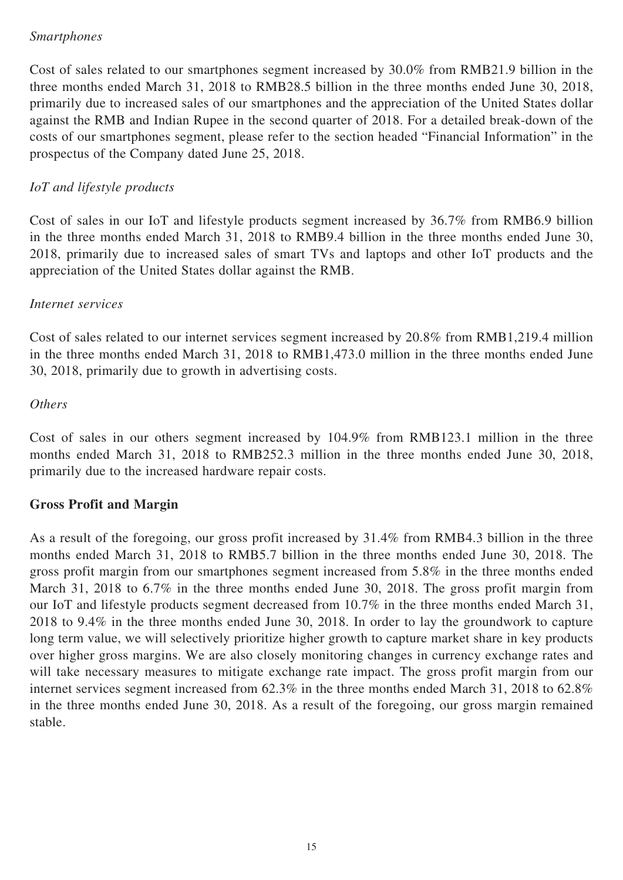## *Smartphones*

Cost of sales related to our smartphones segment increased by 30.0% from RMB21.9 billion in the three months ended March 31, 2018 to RMB28.5 billion in the three months ended June 30, 2018, primarily due to increased sales of our smartphones and the appreciation of the United States dollar against the RMB and Indian Rupee in the second quarter of 2018. For a detailed break-down of the costs of our smartphones segment, please refer to the section headed "Financial Information" in the prospectus of the Company dated June 25, 2018.

# *IoT and lifestyle products*

Cost of sales in our IoT and lifestyle products segment increased by 36.7% from RMB6.9 billion in the three months ended March 31, 2018 to RMB9.4 billion in the three months ended June 30, 2018, primarily due to increased sales of smart TVs and laptops and other IoT products and the appreciation of the United States dollar against the RMB.

### *Internet services*

Cost of sales related to our internet services segment increased by 20.8% from RMB1,219.4 million in the three months ended March 31, 2018 to RMB1,473.0 million in the three months ended June 30, 2018, primarily due to growth in advertising costs.

### *Others*

Cost of sales in our others segment increased by 104.9% from RMB123.1 million in the three months ended March 31, 2018 to RMB252.3 million in the three months ended June 30, 2018, primarily due to the increased hardware repair costs.

# **Gross Profit and Margin**

As a result of the foregoing, our gross profit increased by 31.4% from RMB4.3 billion in the three months ended March 31, 2018 to RMB5.7 billion in the three months ended June 30, 2018. The gross profit margin from our smartphones segment increased from 5.8% in the three months ended March 31, 2018 to 6.7% in the three months ended June 30, 2018. The gross profit margin from our IoT and lifestyle products segment decreased from 10.7% in the three months ended March 31, 2018 to 9.4% in the three months ended June 30, 2018. In order to lay the groundwork to capture long term value, we will selectively prioritize higher growth to capture market share in key products over higher gross margins. We are also closely monitoring changes in currency exchange rates and will take necessary measures to mitigate exchange rate impact. The gross profit margin from our internet services segment increased from 62.3% in the three months ended March 31, 2018 to 62.8% in the three months ended June 30, 2018. As a result of the foregoing, our gross margin remained stable.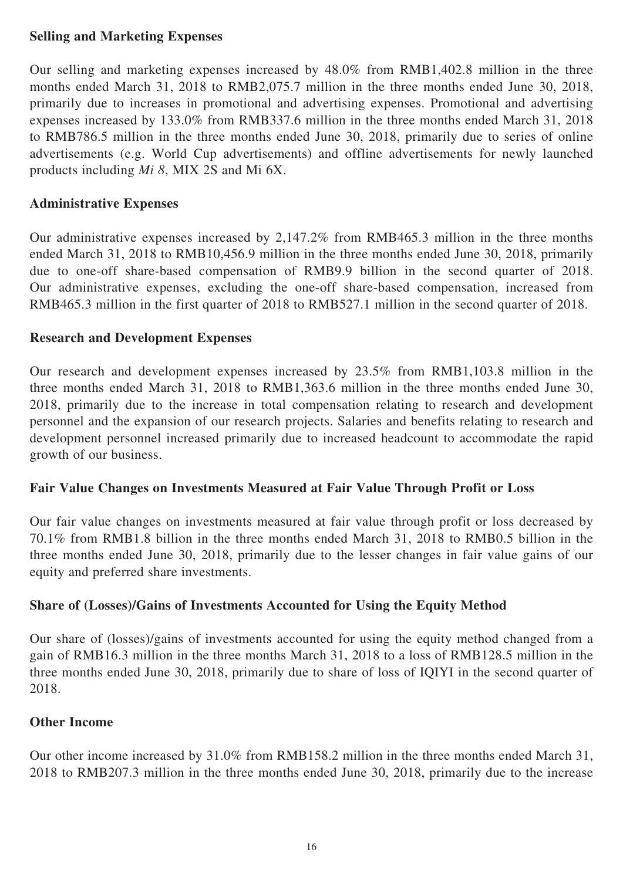# **Selling and Marketing Expenses**

Our selling and marketing expenses increased by 48.0% from RMB1,402.8 million in the three months ended March 31, 2018 to RMB2,075.7 million in the three months ended June 30, 2018, primarily due to increases in promotional and advertising expenses. Promotional and advertising expenses increased by 133.0% from RMB337.6 million in the three months ended March 31, 2018 to RMB786.5 million in the three months ended June 30, 2018, primarily due to series of online advertisements (e.g. World Cup advertisements) and offline advertisements for newly launched products including *Mi 8*, MIX 2S and Mi 6X.

## **Administrative Expenses**

Our administrative expenses increased by 2,147.2% from RMB465.3 million in the three months ended March 31, 2018 to RMB10,456.9 million in the three months ended June 30, 2018, primarily due to one-off share-based compensation of RMB9.9 billion in the second quarter of 2018. Our administrative expenses, excluding the one-off share-based compensation, increased from RMB465.3 million in the first quarter of 2018 to RMB527.1 million in the second quarter of 2018.

## **Research and Development Expenses**

Our research and development expenses increased by 23.5% from RMB1,103.8 million in the three months ended March 31, 2018 to RMB1,363.6 million in the three months ended June 30, 2018, primarily due to the increase in total compensation relating to research and development personnel and the expansion of our research projects. Salaries and benefits relating to research and development personnel increased primarily due to increased headcount to accommodate the rapid growth of our business.

### **Fair Value Changes on Investments Measured at Fair Value Through Profit or Loss**

Our fair value changes on investments measured at fair value through profit or loss decreased by 70.1% from RMB1.8 billion in the three months ended March 31, 2018 to RMB0.5 billion in the three months ended June 30, 2018, primarily due to the lesser changes in fair value gains of our equity and preferred share investments.

# **Share of (Losses)/Gains of Investments Accounted for Using the Equity Method**

Our share of (losses)/gains of investments accounted for using the equity method changed from a gain of RMB16.3 million in the three months March 31, 2018 to a loss of RMB128.5 million in the three months ended June 30, 2018, primarily due to share of loss of IQIYI in the second quarter of 2018.

### **Other Income**

Our other income increased by 31.0% from RMB158.2 million in the three months ended March 31, 2018 to RMB207.3 million in the three months ended June 30, 2018, primarily due to the increase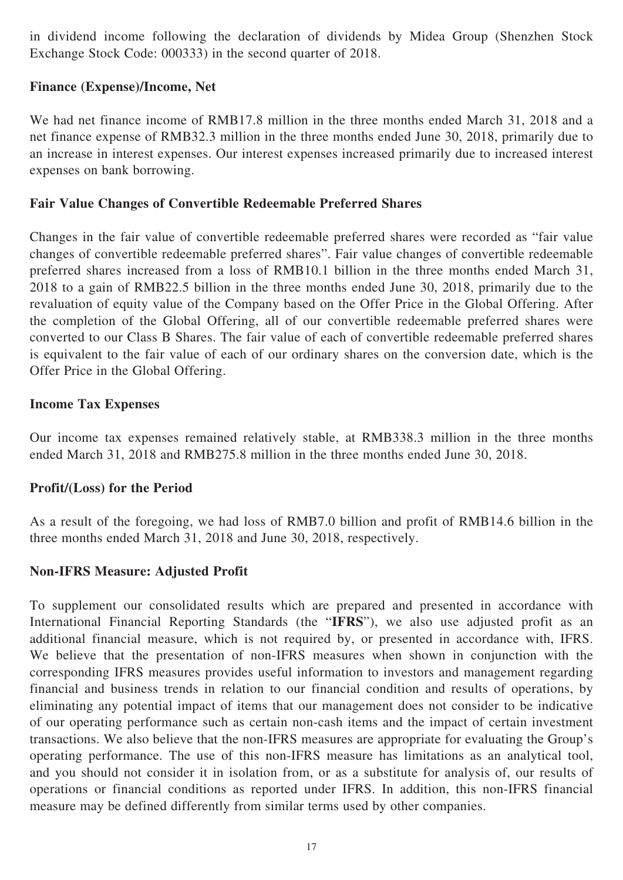in dividend income following the declaration of dividends by Midea Group (Shenzhen Stock Exchange Stock Code: 000333) in the second quarter of 2018.

## **Finance (Expense)/Income, Net**

We had net finance income of RMB17.8 million in the three months ended March 31, 2018 and a net finance expense of RMB32.3 million in the three months ended June 30, 2018, primarily due to an increase in interest expenses. Our interest expenses increased primarily due to increased interest expenses on bank borrowing.

## **Fair Value Changes of Convertible Redeemable Preferred Shares**

Changes in the fair value of convertible redeemable preferred shares were recorded as "fair value changes of convertible redeemable preferred shares". Fair value changes of convertible redeemable preferred shares increased from a loss of RMB10.1 billion in the three months ended March 31, 2018 to a gain of RMB22.5 billion in the three months ended June 30, 2018, primarily due to the revaluation of equity value of the Company based on the Offer Price in the Global Offering. After the completion of the Global Offering, all of our convertible redeemable preferred shares were converted to our Class B Shares. The fair value of each of convertible redeemable preferred shares is equivalent to the fair value of each of our ordinary shares on the conversion date, which is the Offer Price in the Global Offering.

## **Income Tax Expenses**

Our income tax expenses remained relatively stable, at RMB338.3 million in the three months ended March 31, 2018 and RMB275.8 million in the three months ended June 30, 2018.

# **Profit/(Loss) for the Period**

As a result of the foregoing, we had loss of RMB7.0 billion and profit of RMB14.6 billion in the three months ended March 31, 2018 and June 30, 2018, respectively.

# **Non-IFRS Measure: Adjusted Profit**

To supplement our consolidated results which are prepared and presented in accordance with International Financial Reporting Standards (the "**IFRS**"), we also use adjusted profit as an additional financial measure, which is not required by, or presented in accordance with, IFRS. We believe that the presentation of non-IFRS measures when shown in conjunction with the corresponding IFRS measures provides useful information to investors and management regarding financial and business trends in relation to our financial condition and results of operations, by eliminating any potential impact of items that our management does not consider to be indicative of our operating performance such as certain non-cash items and the impact of certain investment transactions. We also believe that the non-IFRS measures are appropriate for evaluating the Group's operating performance. The use of this non-IFRS measure has limitations as an analytical tool, and you should not consider it in isolation from, or as a substitute for analysis of, our results of operations or financial conditions as reported under IFRS. In addition, this non-IFRS financial measure may be defined differently from similar terms used by other companies.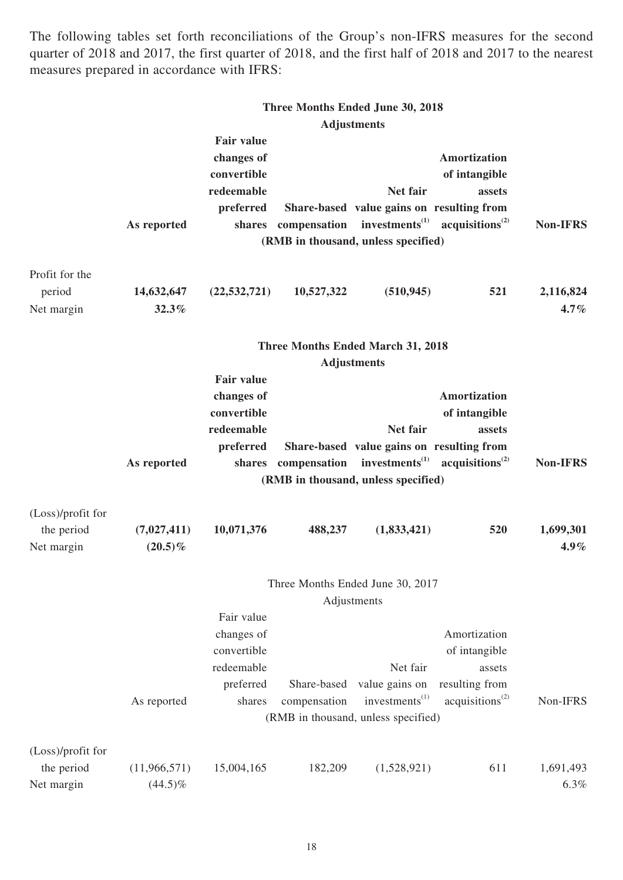The following tables set forth reconciliations of the Group's non-IFRS measures for the second quarter of 2018 and 2017, the first quarter of 2018, and the first half of 2018 and 2017 to the nearest measures prepared in accordance with IFRS:

|                   |              |                   |                     | Three Months Ended June 30, 2018          |                                                                            |                 |
|-------------------|--------------|-------------------|---------------------|-------------------------------------------|----------------------------------------------------------------------------|-----------------|
|                   |              |                   |                     | <b>Adjustments</b>                        |                                                                            |                 |
|                   |              | <b>Fair value</b> |                     |                                           |                                                                            |                 |
|                   |              | changes of        |                     |                                           | Amortization                                                               |                 |
|                   |              | convertible       |                     |                                           | of intangible                                                              |                 |
|                   |              | redeemable        |                     | Net fair                                  | assets                                                                     |                 |
|                   |              | preferred         |                     | Share-based value gains on resulting from |                                                                            |                 |
|                   | As reported  |                   |                     |                                           | shares compensation investments <sup>(1)</sup> acquisitions <sup>(2)</sup> | <b>Non-IFRS</b> |
|                   |              |                   |                     | (RMB in thousand, unless specified)       |                                                                            |                 |
|                   |              |                   |                     |                                           |                                                                            |                 |
| Profit for the    |              |                   |                     |                                           |                                                                            |                 |
| period            | 14,632,647   | (22, 532, 721)    | 10,527,322          | (510, 945)                                | 521                                                                        | 2,116,824       |
| Net margin        | 32.3%        |                   |                     |                                           |                                                                            | $4.7\%$         |
|                   |              |                   |                     | <b>Three Months Ended March 31, 2018</b>  |                                                                            |                 |
|                   |              |                   |                     | <b>Adjustments</b>                        |                                                                            |                 |
|                   |              | <b>Fair value</b> |                     |                                           |                                                                            |                 |
|                   |              | changes of        |                     |                                           | <b>Amortization</b>                                                        |                 |
|                   |              | convertible       |                     |                                           | of intangible                                                              |                 |
|                   |              | redeemable        |                     | Net fair                                  | assets                                                                     |                 |
|                   |              | preferred         |                     | Share-based value gains on resulting from |                                                                            |                 |
|                   | As reported  |                   | shares compensation |                                           | investments <sup>(1)</sup> acquisitions <sup>(2)</sup>                     | <b>Non-IFRS</b> |
|                   |              |                   |                     | (RMB in thousand, unless specified)       |                                                                            |                 |
| (Loss)/profit for |              |                   |                     |                                           |                                                                            |                 |
| the period        | (7,027,411)  | 10,071,376        | 488,237             | (1,833,421)                               | 520                                                                        | 1,699,301       |
| Net margin        | $(20.5)\%$   |                   |                     |                                           |                                                                            | $4.9\%$         |
|                   |              |                   |                     |                                           |                                                                            |                 |
|                   |              |                   |                     | Three Months Ended June 30, 2017          |                                                                            |                 |
|                   |              |                   |                     | Adjustments                               |                                                                            |                 |
|                   |              | Fair value        |                     |                                           |                                                                            |                 |
|                   |              | changes of        |                     |                                           | Amortization                                                               |                 |
|                   |              | convertible       |                     |                                           | of intangible                                                              |                 |
|                   |              | redeemable        |                     | Net fair                                  | assets                                                                     |                 |
|                   |              | preferred         | Share-based         | value gains on                            | resulting from                                                             |                 |
|                   | As reported  | shares            | compensation        | investments <sup>(1)</sup>                | acquisitions <sup>(2)</sup>                                                | Non-IFRS        |
|                   |              |                   |                     | (RMB in thousand, unless specified)       |                                                                            |                 |
| (Loss)/profit for |              |                   |                     |                                           |                                                                            |                 |
| the period        | (11,966,571) | 15,004,165        | 182,209             | (1,528,921)                               | 611                                                                        | 1,691,493       |
|                   |              |                   |                     |                                           |                                                                            |                 |
| Net margin        | $(44.5)\%$   |                   |                     |                                           |                                                                            | 6.3%            |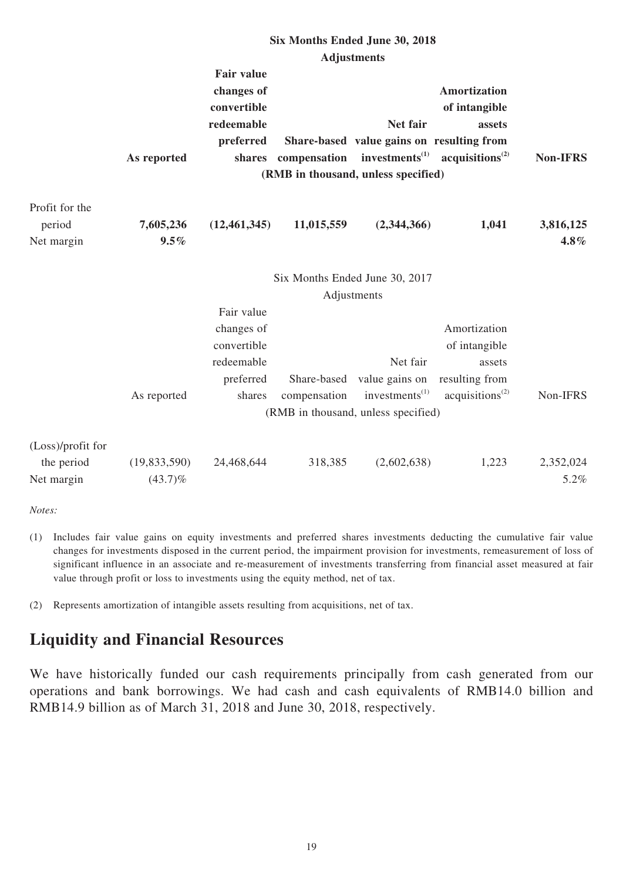|                                               |                              |                                                                              |                             | Six Months Ended June 30, 2018                                                                  |                                                                                          |                      |
|-----------------------------------------------|------------------------------|------------------------------------------------------------------------------|-----------------------------|-------------------------------------------------------------------------------------------------|------------------------------------------------------------------------------------------|----------------------|
|                                               |                              |                                                                              |                             | <b>Adjustments</b>                                                                              |                                                                                          |                      |
|                                               | As reported                  | <b>Fair value</b><br>changes of<br>convertible<br>redeemable<br>preferred    | shares compensation         | Net fair<br>Share-based value gains on resulting from<br>investments <sup>(1)</sup>             | <b>Amortization</b><br>of intangible<br>assets<br>acquisitions <sup>(2)</sup>            | <b>Non-IFRS</b>      |
|                                               |                              |                                                                              |                             | (RMB in thousand, unless specified)                                                             |                                                                                          |                      |
| Profit for the<br>period<br>Net margin        | 7,605,236<br>9.5%            | (12, 461, 345)                                                               | 11,015,559                  | (2,344,366)                                                                                     | 1,041                                                                                    | 3,816,125<br>$4.8\%$ |
|                                               |                              |                                                                              |                             | Six Months Ended June 30, 2017<br>Adjustments                                                   |                                                                                          |                      |
|                                               | As reported                  | Fair value<br>changes of<br>convertible<br>redeemable<br>preferred<br>shares | Share-based<br>compensation | Net fair<br>value gains on<br>investments <sup>(1)</sup><br>(RMB in thousand, unless specified) | Amortization<br>of intangible<br>assets<br>resulting from<br>acquisitions <sup>(2)</sup> | Non-IFRS             |
| (Loss)/profit for<br>the period<br>Net margin | (19, 833, 590)<br>$(43.7)\%$ | 24,468,644                                                                   | 318,385                     | (2,602,638)                                                                                     | 1,223                                                                                    | 2,352,024<br>5.2%    |

*Notes:*

(1) Includes fair value gains on equity investments and preferred shares investments deducting the cumulative fair value changes for investments disposed in the current period, the impairment provision for investments, remeasurement of loss of significant influence in an associate and re-measurement of investments transferring from financial asset measured at fair value through profit or loss to investments using the equity method, net of tax.

(2) Represents amortization of intangible assets resulting from acquisitions, net of tax.

# **Liquidity and Financial Resources**

We have historically funded our cash requirements principally from cash generated from our operations and bank borrowings. We had cash and cash equivalents of RMB14.0 billion and RMB14.9 billion as of March 31, 2018 and June 30, 2018, respectively.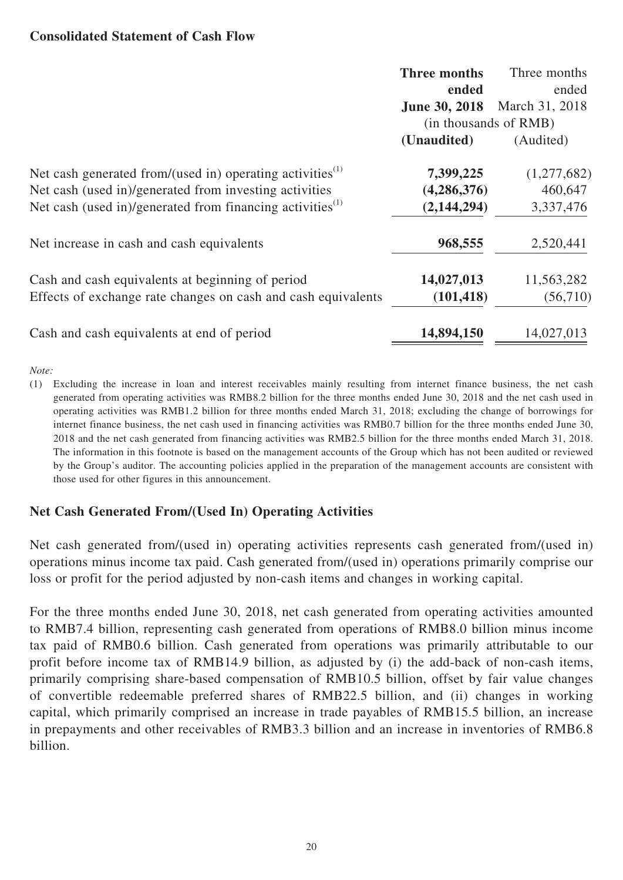#### **Consolidated Statement of Cash Flow**

|                                                                       | Three months<br>ended<br><b>June 30, 2018</b> | Three months<br>ended<br>March 31, 2018 |
|-----------------------------------------------------------------------|-----------------------------------------------|-----------------------------------------|
|                                                                       | (in thousands of RMB)                         |                                         |
|                                                                       | (Unaudited)                                   | (Audited)                               |
| Net cash generated from/(used in) operating activities <sup>(1)</sup> | 7,399,225                                     | (1,277,682)                             |
| Net cash (used in)/generated from investing activities                | (4, 286, 376)                                 | 460,647                                 |
| Net cash (used in)/generated from financing activities <sup>(1)</sup> | (2,144,294)                                   | 3,337,476                               |
| Net increase in cash and cash equivalents                             | 968,555                                       | 2,520,441                               |
| Cash and cash equivalents at beginning of period                      | 14,027,013                                    | 11,563,282                              |
| Effects of exchange rate changes on cash and cash equivalents         | (101, 418)                                    | (56,710)                                |
| Cash and cash equivalents at end of period                            | 14,894,150                                    | 14,027,013                              |

*Note:*

(1) Excluding the increase in loan and interest receivables mainly resulting from internet finance business, the net cash generated from operating activities was RMB8.2 billion for the three months ended June 30, 2018 and the net cash used in operating activities was RMB1.2 billion for three months ended March 31, 2018; excluding the change of borrowings for internet finance business, the net cash used in financing activities was RMB0.7 billion for the three months ended June 30, 2018 and the net cash generated from financing activities was RMB2.5 billion for the three months ended March 31, 2018. The information in this footnote is based on the management accounts of the Group which has not been audited or reviewed by the Group's auditor. The accounting policies applied in the preparation of the management accounts are consistent with those used for other figures in this announcement.

# **Net Cash Generated From/(Used In) Operating Activities**

Net cash generated from/(used in) operating activities represents cash generated from/(used in) operations minus income tax paid. Cash generated from/(used in) operations primarily comprise our loss or profit for the period adjusted by non-cash items and changes in working capital.

For the three months ended June 30, 2018, net cash generated from operating activities amounted to RMB7.4 billion, representing cash generated from operations of RMB8.0 billion minus income tax paid of RMB0.6 billion. Cash generated from operations was primarily attributable to our profit before income tax of RMB14.9 billion, as adjusted by (i) the add-back of non-cash items, primarily comprising share-based compensation of RMB10.5 billion, offset by fair value changes of convertible redeemable preferred shares of RMB22.5 billion, and (ii) changes in working capital, which primarily comprised an increase in trade payables of RMB15.5 billion, an increase in prepayments and other receivables of RMB3.3 billion and an increase in inventories of RMB6.8 billion.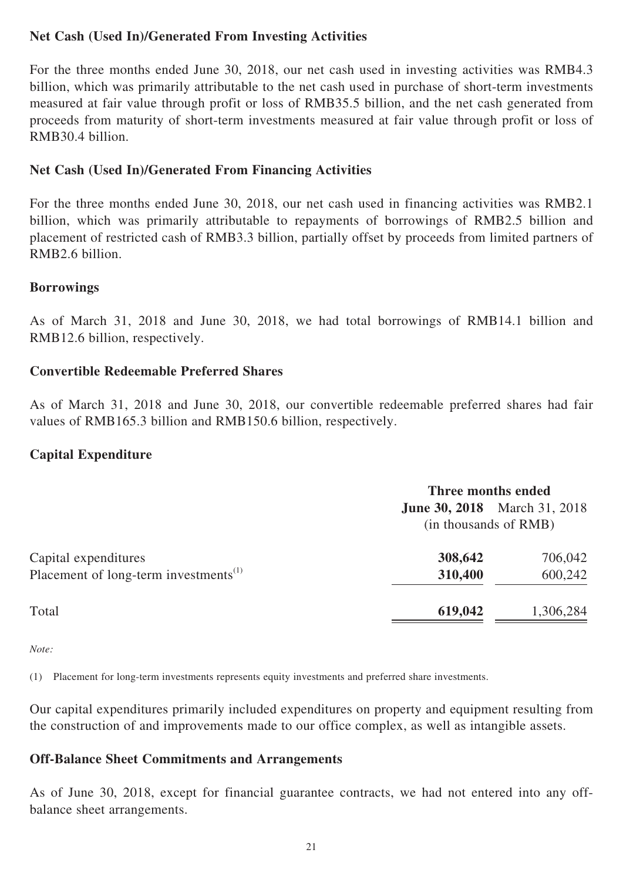# **Net Cash (Used In)/Generated From Investing Activities**

For the three months ended June 30, 2018, our net cash used in investing activities was RMB4.3 billion, which was primarily attributable to the net cash used in purchase of short-term investments measured at fair value through profit or loss of RMB35.5 billion, and the net cash generated from proceeds from maturity of short-term investments measured at fair value through profit or loss of RMB30.4 billion.

# **Net Cash (Used In)/Generated From Financing Activities**

For the three months ended June 30, 2018, our net cash used in financing activities was RMB2.1 billion, which was primarily attributable to repayments of borrowings of RMB2.5 billion and placement of restricted cash of RMB3.3 billion, partially offset by proceeds from limited partners of RMB2.6 billion.

### **Borrowings**

As of March 31, 2018 and June 30, 2018, we had total borrowings of RMB14.1 billion and RMB12.6 billion, respectively.

### **Convertible Redeemable Preferred Shares**

As of March 31, 2018 and June 30, 2018, our convertible redeemable preferred shares had fair values of RMB165.3 billion and RMB150.6 billion, respectively.

### **Capital Expenditure**

|                                                   | Three months ended    |                                     |  |
|---------------------------------------------------|-----------------------|-------------------------------------|--|
|                                                   | (in thousands of RMB) | <b>June 30, 2018</b> March 31, 2018 |  |
| Capital expenditures                              | 308,642               | 706,042                             |  |
| Placement of long-term investments <sup>(1)</sup> | 310,400               | 600,242                             |  |
| Total                                             | 619,042               | 1,306,284                           |  |

*Note:*

(1) Placement for long-term investments represents equity investments and preferred share investments.

Our capital expenditures primarily included expenditures on property and equipment resulting from the construction of and improvements made to our office complex, as well as intangible assets.

### **Off-Balance Sheet Commitments and Arrangements**

As of June 30, 2018, except for financial guarantee contracts, we had not entered into any offbalance sheet arrangements.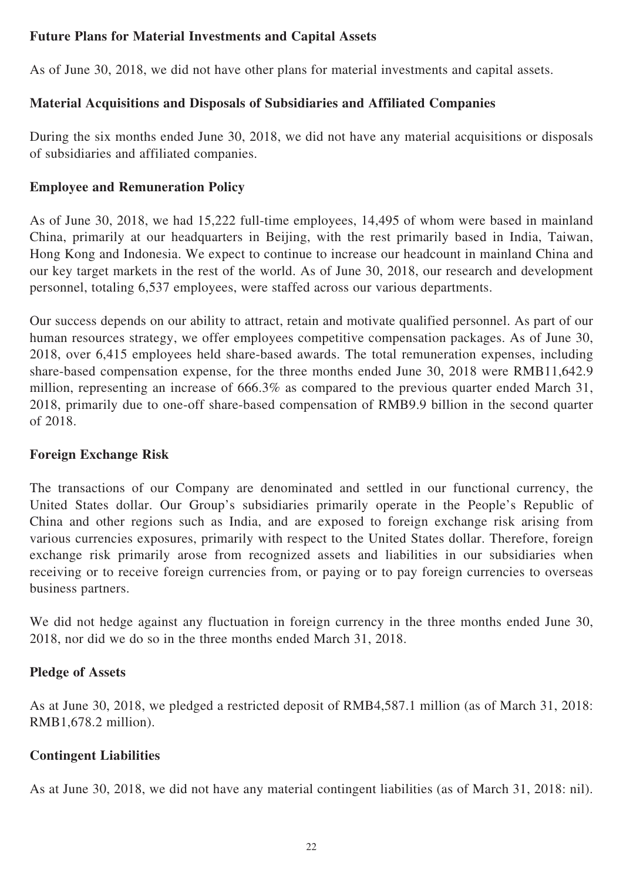# **Future Plans for Material Investments and Capital Assets**

As of June 30, 2018, we did not have other plans for material investments and capital assets.

# **Material Acquisitions and Disposals of Subsidiaries and Affiliated Companies**

During the six months ended June 30, 2018, we did not have any material acquisitions or disposals of subsidiaries and affiliated companies.

## **Employee and Remuneration Policy**

As of June 30, 2018, we had 15,222 full-time employees, 14,495 of whom were based in mainland China, primarily at our headquarters in Beijing, with the rest primarily based in India, Taiwan, Hong Kong and Indonesia. We expect to continue to increase our headcount in mainland China and our key target markets in the rest of the world. As of June 30, 2018, our research and development personnel, totaling 6,537 employees, were staffed across our various departments.

Our success depends on our ability to attract, retain and motivate qualified personnel. As part of our human resources strategy, we offer employees competitive compensation packages. As of June 30, 2018, over 6,415 employees held share-based awards. The total remuneration expenses, including share-based compensation expense, for the three months ended June 30, 2018 were RMB11,642.9 million, representing an increase of 666.3% as compared to the previous quarter ended March 31, 2018, primarily due to one-off share-based compensation of RMB9.9 billion in the second quarter of 2018.

### **Foreign Exchange Risk**

The transactions of our Company are denominated and settled in our functional currency, the United States dollar. Our Group's subsidiaries primarily operate in the People's Republic of China and other regions such as India, and are exposed to foreign exchange risk arising from various currencies exposures, primarily with respect to the United States dollar. Therefore, foreign exchange risk primarily arose from recognized assets and liabilities in our subsidiaries when receiving or to receive foreign currencies from, or paying or to pay foreign currencies to overseas business partners.

We did not hedge against any fluctuation in foreign currency in the three months ended June 30, 2018, nor did we do so in the three months ended March 31, 2018.

### **Pledge of Assets**

As at June 30, 2018, we pledged a restricted deposit of RMB4,587.1 million (as of March 31, 2018: RMB1,678.2 million).

### **Contingent Liabilities**

As at June 30, 2018, we did not have any material contingent liabilities (as of March 31, 2018: nil).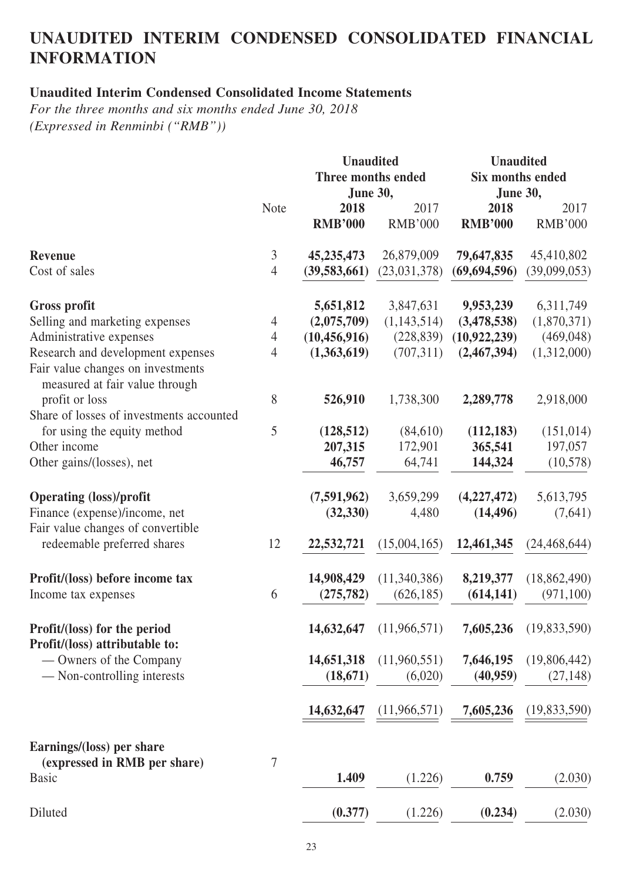# **UNAUDITED INTERIM CONDENSED CONSOLIDATED FINANCIAL INFORMATION**

# **Unaudited Interim Condensed Consolidated Income Statements**

*For the three months and six months ended June 30, 2018 (Expressed in Renminbi ("RMB"))*

|                                                                                                          |                | <b>Unaudited</b><br><b>Unaudited</b><br>Three months ended<br><b>Six months ended</b><br><b>June 30,</b><br><b>June 30,</b> |                |                |                |
|----------------------------------------------------------------------------------------------------------|----------------|-----------------------------------------------------------------------------------------------------------------------------|----------------|----------------|----------------|
|                                                                                                          | <b>Note</b>    | 2018                                                                                                                        | 2017           | 2018           | 2017           |
|                                                                                                          |                | <b>RMB'000</b>                                                                                                              | <b>RMB'000</b> | <b>RMB'000</b> | <b>RMB'000</b> |
| <b>Revenue</b>                                                                                           | 3              | 45, 235, 473                                                                                                                | 26,879,009     | 79,647,835     | 45,410,802     |
| Cost of sales                                                                                            | $\overline{4}$ | (39, 583, 661)                                                                                                              | (23,031,378)   | (69, 694, 596) | (39,099,053)   |
| <b>Gross profit</b>                                                                                      |                | 5,651,812                                                                                                                   | 3,847,631      | 9,953,239      | 6,311,749      |
| Selling and marketing expenses                                                                           | 4              | (2,075,709)                                                                                                                 | (1,143,514)    | (3,478,538)    | (1,870,371)    |
| Administrative expenses                                                                                  | $\overline{4}$ | (10, 456, 916)                                                                                                              | (228, 839)     | (10, 922, 239) | (469, 048)     |
| Research and development expenses<br>Fair value changes on investments<br>measured at fair value through | $\overline{4}$ | (1,363,619)                                                                                                                 | (707, 311)     | (2,467,394)    | (1,312,000)    |
| profit or loss<br>Share of losses of investments accounted                                               | 8              | 526,910                                                                                                                     | 1,738,300      | 2,289,778      | 2,918,000      |
| for using the equity method                                                                              | 5              | (128, 512)                                                                                                                  | (84,610)       | (112, 183)     | (151, 014)     |
| Other income                                                                                             |                | 207,315                                                                                                                     | 172,901        | 365,541        | 197,057        |
| Other gains/(losses), net                                                                                |                | 46,757                                                                                                                      | 64,741         | 144,324        | (10,578)       |
| <b>Operating (loss)/profit</b>                                                                           |                | (7,591,962)                                                                                                                 | 3,659,299      | (4,227,472)    | 5,613,795      |
| Finance (expense)/income, net<br>Fair value changes of convertible                                       |                | (32, 330)                                                                                                                   | 4,480          | (14, 496)      | (7,641)        |
| redeemable preferred shares                                                                              | 12             | 22,532,721                                                                                                                  | (15,004,165)   | 12,461,345     | (24, 468, 644) |
| Profit/(loss) before income tax                                                                          |                | 14,908,429                                                                                                                  | (11,340,386)   | 8,219,377      | (18, 862, 490) |
| Income tax expenses                                                                                      | 6              | (275, 782)                                                                                                                  | (626, 185)     | (614, 141)     | (971, 100)     |
| Profit/(loss) for the period<br>Profit/(loss) attributable to:                                           |                | 14,632,647                                                                                                                  | (11,966,571)   | 7,605,236      | (19,833,590)   |
| — Owners of the Company                                                                                  |                | 14,651,318                                                                                                                  | (11,960,551)   | 7,646,195      | (19,806,442)   |
| — Non-controlling interests                                                                              |                | (18, 671)                                                                                                                   | (6,020)        | (40, 959)      | (27, 148)      |
|                                                                                                          |                | 14,632,647                                                                                                                  | (11,966,571)   | 7,605,236      | (19,833,590)   |
| Earnings/(loss) per share                                                                                |                |                                                                                                                             |                |                |                |
| (expressed in RMB per share)<br><b>Basic</b>                                                             | 7              | 1.409                                                                                                                       | (1.226)        | 0.759          | (2.030)        |
| Diluted                                                                                                  |                | (0.377)                                                                                                                     | (1.226)        | (0.234)        | (2.030)        |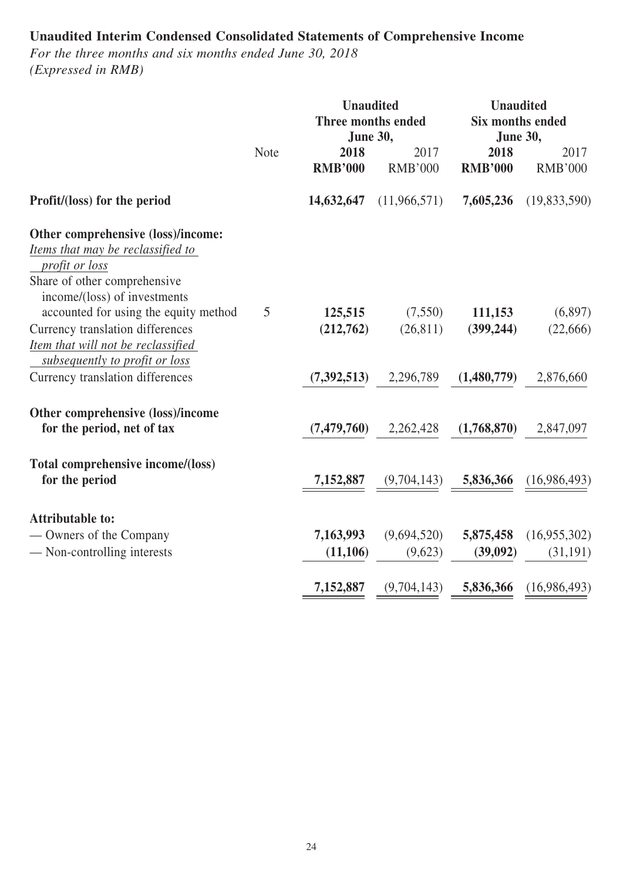# **Unaudited Interim Condensed Consolidated Statements of Comprehensive Income**

*For the three months and six months ended June 30, 2018 (Expressed in RMB)*

|                                                                                                                                                           |             |                        | <b>Unaudited</b><br><b>Unaudited</b><br>Three months ended<br><b>Six months ended</b><br><b>June 30,</b><br><b>June 30,</b> |                         |                          |
|-----------------------------------------------------------------------------------------------------------------------------------------------------------|-------------|------------------------|-----------------------------------------------------------------------------------------------------------------------------|-------------------------|--------------------------|
|                                                                                                                                                           | <b>Note</b> | 2018<br><b>RMB'000</b> | 2017<br><b>RMB'000</b>                                                                                                      | 2018<br><b>RMB'000</b>  | 2017<br><b>RMB'000</b>   |
| Profit/(loss) for the period                                                                                                                              |             | 14,632,647             | (11,966,571)                                                                                                                | 7,605,236               | (19,833,590)             |
| Other comprehensive (loss)/income:<br>Items that may be reclassified to<br>profit or loss<br>Share of other comprehensive<br>income/(loss) of investments |             |                        |                                                                                                                             |                         |                          |
| accounted for using the equity method<br>Currency translation differences<br>Item that will not be reclassified<br>subsequently to profit or loss         | 5           | 125,515<br>(212,762)   | (7,550)<br>(26, 811)                                                                                                        | 111,153<br>(399, 244)   | (6,897)<br>(22,666)      |
| Currency translation differences                                                                                                                          |             | (7,392,513)            | 2,296,789                                                                                                                   | (1,480,779)             | 2,876,660                |
| Other comprehensive (loss)/income<br>for the period, net of tax                                                                                           |             | (7, 479, 760)          | 2,262,428                                                                                                                   | (1,768,870)             | 2,847,097                |
| Total comprehensive income/(loss)<br>for the period                                                                                                       |             | 7,152,887              |                                                                                                                             | $(9,704,143)$ 5,836,366 | (16,986,493)             |
| <b>Attributable to:</b><br>— Owners of the Company<br>- Non-controlling interests                                                                         |             | 7,163,993<br>(11, 106) | (9,694,520)<br>(9,623)                                                                                                      | 5,875,458<br>(39,092)   | (16,955,302)<br>(31,191) |
|                                                                                                                                                           |             | 7,152,887              | (9,704,143)                                                                                                                 | 5,836,366               | (16,986,493)             |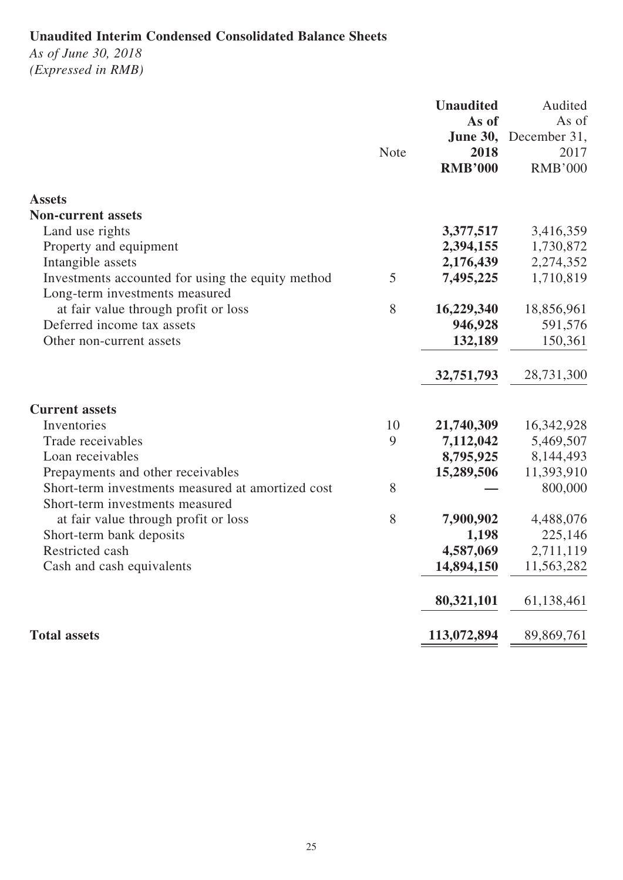# **Unaudited Interim Condensed Consolidated Balance Sheets**

*As of June 30, 2018 (Expressed in RMB)*

|                                                                                      |             | <b>Unaudited</b><br>As of | Audited<br>As of |
|--------------------------------------------------------------------------------------|-------------|---------------------------|------------------|
|                                                                                      |             | <b>June 30,</b>           | December 31,     |
|                                                                                      | <b>Note</b> | 2018                      | 2017             |
|                                                                                      |             | <b>RMB'000</b>            | <b>RMB'000</b>   |
| <b>Assets</b>                                                                        |             |                           |                  |
| <b>Non-current assets</b>                                                            |             |                           |                  |
| Land use rights                                                                      |             | 3,377,517                 | 3,416,359        |
| Property and equipment                                                               |             | 2,394,155                 | 1,730,872        |
| Intangible assets                                                                    |             | 2,176,439                 | 2,274,352        |
| Investments accounted for using the equity method                                    | 5           | 7,495,225                 | 1,710,819        |
| Long-term investments measured                                                       |             |                           |                  |
| at fair value through profit or loss                                                 | 8           | 16,229,340                | 18,856,961       |
| Deferred income tax assets                                                           |             | 946,928                   | 591,576          |
| Other non-current assets                                                             |             | 132,189                   | 150,361          |
|                                                                                      |             | 32,751,793                | 28,731,300       |
| <b>Current assets</b>                                                                |             |                           |                  |
| Inventories                                                                          | 10          | 21,740,309                | 16,342,928       |
| Trade receivables                                                                    | 9           | 7,112,042                 | 5,469,507        |
| Loan receivables                                                                     |             | 8,795,925                 | 8,144,493        |
| Prepayments and other receivables                                                    |             | 15,289,506                | 11,393,910       |
| Short-term investments measured at amortized cost<br>Short-term investments measured | 8           |                           | 800,000          |
| at fair value through profit or loss                                                 | 8           | 7,900,902                 | 4,488,076        |
| Short-term bank deposits                                                             |             | 1,198                     | 225,146          |
| Restricted cash                                                                      |             | 4,587,069                 | 2,711,119        |
| Cash and cash equivalents                                                            |             | 14,894,150                | 11,563,282       |
|                                                                                      |             | 80,321,101                | 61,138,461       |
| <b>Total assets</b>                                                                  |             | 113,072,894               | 89,869,761       |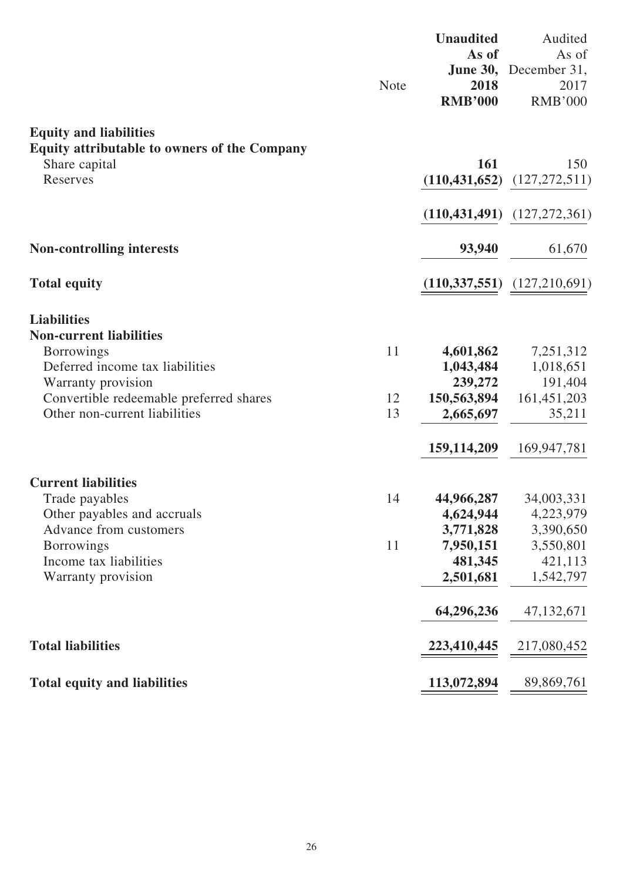|                                                       | <b>Note</b> | <b>Unaudited</b><br>As of<br>2018<br><b>RMB'000</b> | Audited<br>As of<br>June 30, December 31,<br>2017<br><b>RMB'000</b> |
|-------------------------------------------------------|-------------|-----------------------------------------------------|---------------------------------------------------------------------|
| <b>Equity and liabilities</b>                         |             |                                                     |                                                                     |
| <b>Equity attributable to owners of the Company</b>   |             |                                                     |                                                                     |
| Share capital<br>Reserves                             |             | 161                                                 | 150<br>$(110, 431, 652)$ $(127, 272, 511)$                          |
|                                                       |             |                                                     |                                                                     |
|                                                       |             |                                                     | $(110,431,491)$ $(127,272,361)$                                     |
| <b>Non-controlling interests</b>                      |             | 93,940                                              | 61,670                                                              |
| <b>Total equity</b>                                   |             |                                                     | $(110,337,551)$ $(127,210,691)$                                     |
| <b>Liabilities</b>                                    |             |                                                     |                                                                     |
| <b>Non-current liabilities</b>                        |             |                                                     |                                                                     |
| <b>Borrowings</b>                                     | 11          | 4,601,862                                           | 7,251,312                                                           |
| Deferred income tax liabilities<br>Warranty provision |             | 1,043,484<br>239,272                                | 1,018,651<br>191,404                                                |
| Convertible redeemable preferred shares               | 12          | 150,563,894                                         | 161,451,203                                                         |
| Other non-current liabilities                         | 13          | 2,665,697                                           | 35,211                                                              |
|                                                       |             | 159, 114, 209                                       | 169,947,781                                                         |
| <b>Current liabilities</b>                            |             |                                                     |                                                                     |
| Trade payables                                        | 14          | 44,966,287                                          | 34,003,331                                                          |
| Other payables and accruals                           |             | 4,624,944                                           | 4,223,979                                                           |
| Advance from customers<br><b>Borrowings</b>           | 11          | 3,771,828<br>7,950,151                              | 3,390,650<br>3,550,801                                              |
| Income tax liabilities                                |             | 481,345                                             | 421,113                                                             |
| Warranty provision                                    |             | 2,501,681                                           | 1,542,797                                                           |
|                                                       |             | 64,296,236                                          | 47, 132, 671                                                        |
| <b>Total liabilities</b>                              |             | 223,410,445                                         | 217,080,452                                                         |
| <b>Total equity and liabilities</b>                   |             | 113,072,894                                         | 89,869,761                                                          |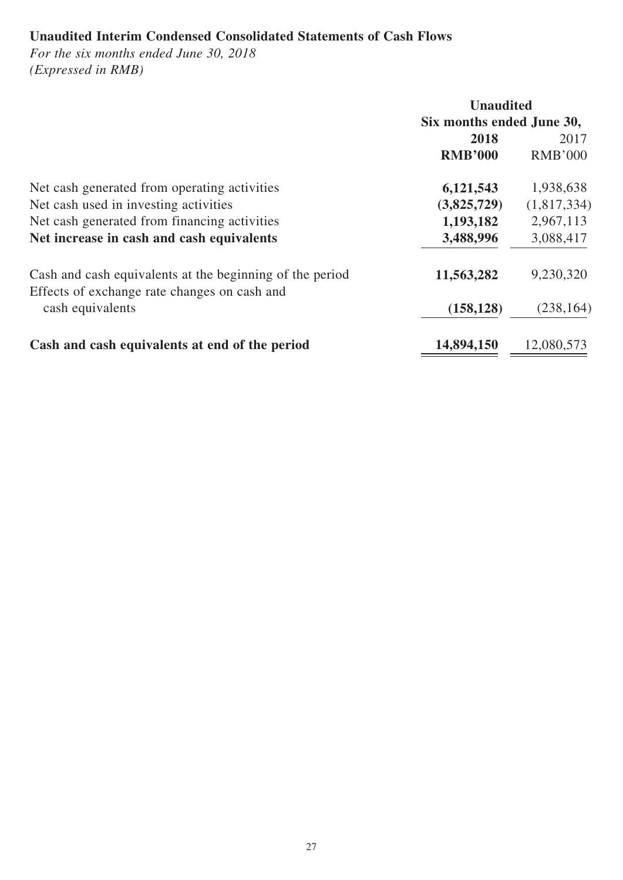# **Unaudited Interim Condensed Consolidated Statements of Cash Flows**

*For the six months ended June 30, 2018 (Expressed in RMB)*

|                                                                                                          |                           | <b>Unaudited</b> |  |  |
|----------------------------------------------------------------------------------------------------------|---------------------------|------------------|--|--|
|                                                                                                          | Six months ended June 30, |                  |  |  |
|                                                                                                          | 2018                      | 2017             |  |  |
|                                                                                                          | <b>RMB'000</b>            | <b>RMB'000</b>   |  |  |
| Net cash generated from operating activities                                                             | 6,121,543                 | 1,938,638        |  |  |
| Net cash used in investing activities                                                                    | (3,825,729)               | (1,817,334)      |  |  |
| Net cash generated from financing activities                                                             | 1,193,182                 | 2,967,113        |  |  |
| Net increase in cash and cash equivalents                                                                | 3,488,996                 | 3,088,417        |  |  |
| Cash and cash equivalents at the beginning of the period<br>Effects of exchange rate changes on cash and | 11,563,282                | 9,230,320        |  |  |
| cash equivalents                                                                                         | (158, 128)                | (238, 164)       |  |  |
| Cash and cash equivalents at end of the period                                                           | 14,894,150                | 12,080,573       |  |  |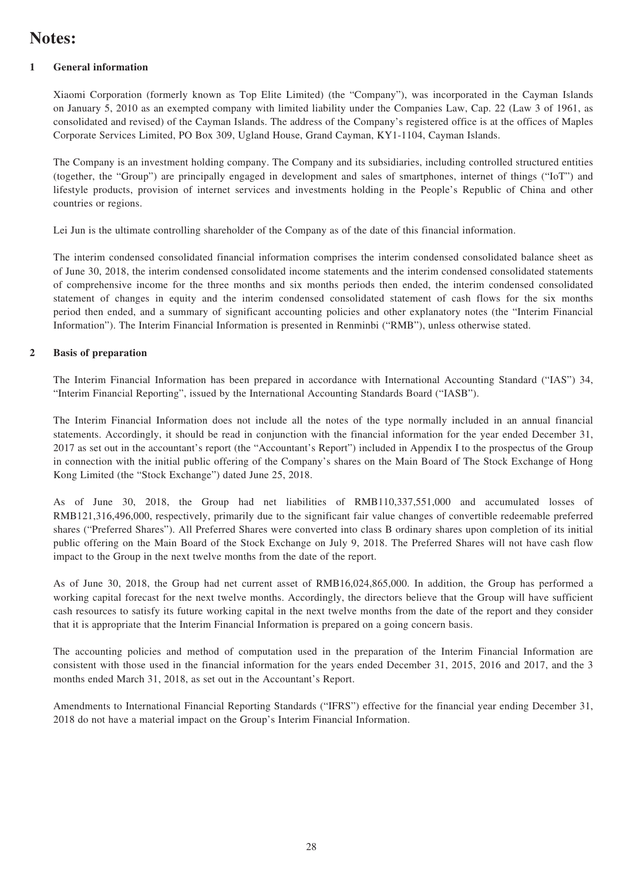# **Notes:**

#### **1 General information**

Xiaomi Corporation (formerly known as Top Elite Limited) (the "Company"), was incorporated in the Cayman Islands on January 5, 2010 as an exempted company with limited liability under the Companies Law, Cap. 22 (Law 3 of 1961, as consolidated and revised) of the Cayman Islands. The address of the Company's registered office is at the offices of Maples Corporate Services Limited, PO Box 309, Ugland House, Grand Cayman, KY1-1104, Cayman Islands.

The Company is an investment holding company. The Company and its subsidiaries, including controlled structured entities (together, the "Group") are principally engaged in development and sales of smartphones, internet of things ("IoT") and lifestyle products, provision of internet services and investments holding in the People's Republic of China and other countries or regions.

Lei Jun is the ultimate controlling shareholder of the Company as of the date of this financial information.

The interim condensed consolidated financial information comprises the interim condensed consolidated balance sheet as of June 30, 2018, the interim condensed consolidated income statements and the interim condensed consolidated statements of comprehensive income for the three months and six months periods then ended, the interim condensed consolidated statement of changes in equity and the interim condensed consolidated statement of cash flows for the six months period then ended, and a summary of significant accounting policies and other explanatory notes (the "Interim Financial Information"). The Interim Financial Information is presented in Renminbi ("RMB"), unless otherwise stated.

#### **2 Basis of preparation**

The Interim Financial Information has been prepared in accordance with International Accounting Standard ("IAS") 34, "Interim Financial Reporting", issued by the International Accounting Standards Board ("IASB").

The Interim Financial Information does not include all the notes of the type normally included in an annual financial statements. Accordingly, it should be read in conjunction with the financial information for the year ended December 31, 2017 as set out in the accountant's report (the "Accountant's Report") included in Appendix I to the prospectus of the Group in connection with the initial public offering of the Company's shares on the Main Board of The Stock Exchange of Hong Kong Limited (the "Stock Exchange") dated June 25, 2018.

As of June 30, 2018, the Group had net liabilities of RMB110,337,551,000 and accumulated losses of RMB121,316,496,000, respectively, primarily due to the significant fair value changes of convertible redeemable preferred shares ("Preferred Shares"). All Preferred Shares were converted into class B ordinary shares upon completion of its initial public offering on the Main Board of the Stock Exchange on July 9, 2018. The Preferred Shares will not have cash flow impact to the Group in the next twelve months from the date of the report.

As of June 30, 2018, the Group had net current asset of RMB16,024,865,000. In addition, the Group has performed a working capital forecast for the next twelve months. Accordingly, the directors believe that the Group will have sufficient cash resources to satisfy its future working capital in the next twelve months from the date of the report and they consider that it is appropriate that the Interim Financial Information is prepared on a going concern basis.

The accounting policies and method of computation used in the preparation of the Interim Financial Information are consistent with those used in the financial information for the years ended December 31, 2015, 2016 and 2017, and the 3 months ended March 31, 2018, as set out in the Accountant's Report.

Amendments to International Financial Reporting Standards ("IFRS") effective for the financial year ending December 31, 2018 do not have a material impact on the Group's Interim Financial Information.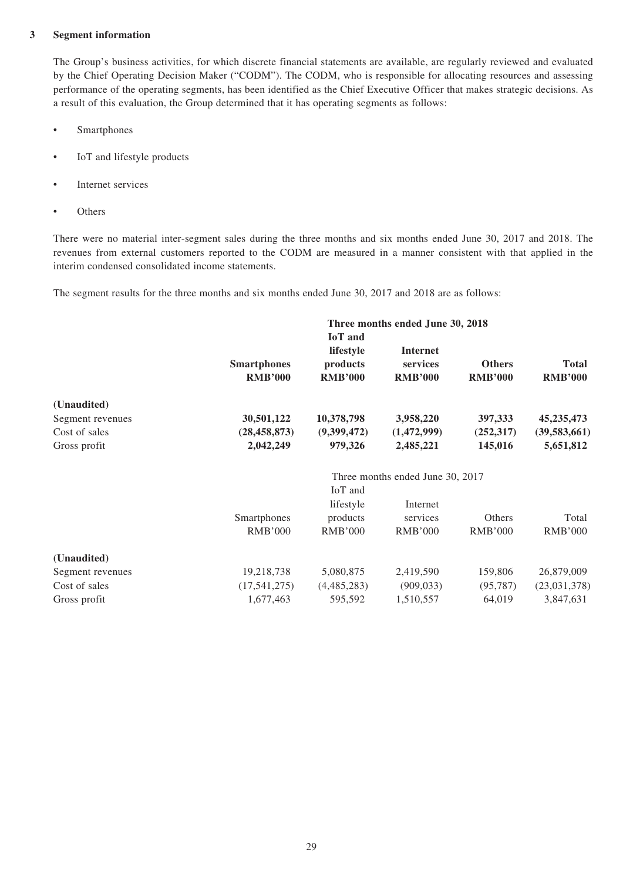#### **3 Segment information**

The Group's business activities, for which discrete financial statements are available, are regularly reviewed and evaluated by the Chief Operating Decision Maker ("CODM"). The CODM, who is responsible for allocating resources and assessing performance of the operating segments, has been identified as the Chief Executive Officer that makes strategic decisions. As a result of this evaluation, the Group determined that it has operating segments as follows:

- Smartphones
- IoT and lifestyle products
- Internet services
- **Others**

There were no material inter-segment sales during the three months and six months ended June 30, 2017 and 2018. The revenues from external customers reported to the CODM are measured in a manner consistent with that applied in the interim condensed consolidated income statements.

The segment results for the three months and six months ended June 30, 2017 and 2018 are as follows:

|                  | Three months ended June 30, 2018 |                |                                  |                |                |  |
|------------------|----------------------------------|----------------|----------------------------------|----------------|----------------|--|
|                  |                                  | <b>IoT</b> and |                                  |                |                |  |
|                  |                                  | lifestyle      | <b>Internet</b>                  |                |                |  |
|                  | <b>Smartphones</b>               | products       | services                         | <b>Others</b>  | <b>Total</b>   |  |
|                  | <b>RMB'000</b>                   | <b>RMB'000</b> | <b>RMB'000</b>                   | <b>RMB'000</b> | <b>RMB'000</b> |  |
| (Unaudited)      |                                  |                |                                  |                |                |  |
| Segment revenues | 30,501,122                       | 10,378,798     | 3,958,220                        | 397,333        | 45, 235, 473   |  |
| Cost of sales    | (28, 458, 873)                   | (9,399,472)    | (1,472,999)                      | (252, 317)     | (39, 583, 661) |  |
| Gross profit     | 2,042,249                        | 979,326        | 2,485,221                        | 145,016        | 5,651,812      |  |
|                  |                                  |                | Three months ended June 30, 2017 |                |                |  |
|                  |                                  | IoT and        |                                  |                |                |  |
|                  |                                  | lifestyle      | Internet                         |                |                |  |
|                  | Smartphones                      | products       | services                         | Others         | Total          |  |
|                  | <b>RMB'000</b>                   | <b>RMB'000</b> | <b>RMB'000</b>                   | <b>RMB'000</b> | <b>RMB'000</b> |  |
| (Unaudited)      |                                  |                |                                  |                |                |  |
| Segment revenues | 19,218,738                       | 5,080,875      | 2,419,590                        | 159,806        | 26,879,009     |  |
| Cost of sales    | (17,541,275)                     | (4,485,283)    | (909, 033)                       | (95, 787)      | (23,031,378)   |  |
| Gross profit     | 1,677,463                        | 595,592        | 1,510,557                        | 64,019         | 3,847,631      |  |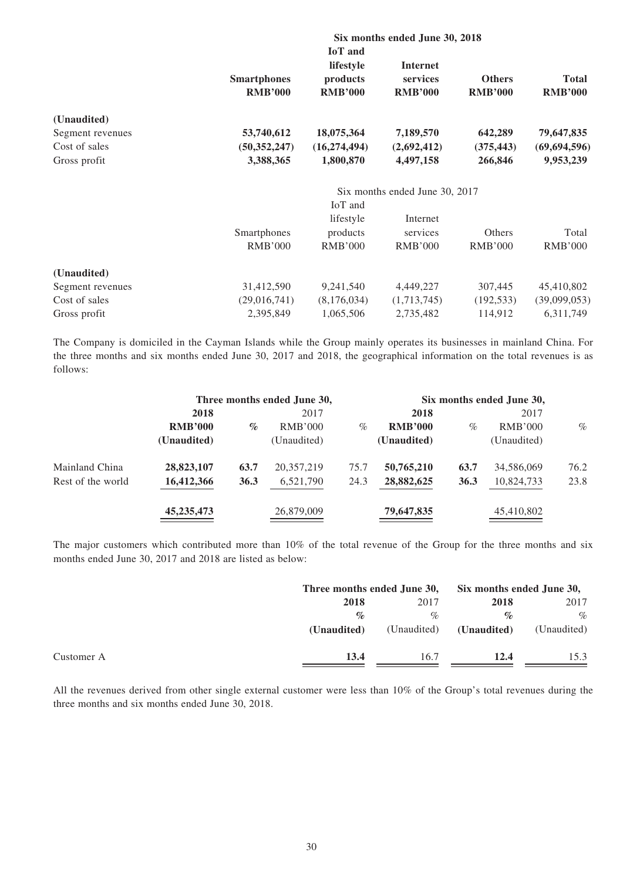|                  | Six months ended June 30, 2018 |                |                                |                |                |  |
|------------------|--------------------------------|----------------|--------------------------------|----------------|----------------|--|
|                  |                                | <b>IoT</b> and |                                |                |                |  |
|                  |                                | lifestyle      | <b>Internet</b>                |                |                |  |
|                  | <b>Smartphones</b>             | products       | services                       | <b>Others</b>  | <b>Total</b>   |  |
|                  | <b>RMB'000</b>                 | <b>RMB'000</b> | <b>RMB'000</b>                 | <b>RMB'000</b> | <b>RMB'000</b> |  |
| (Unaudited)      |                                |                |                                |                |                |  |
| Segment revenues | 53,740,612                     | 18,075,364     | 7,189,570                      | 642,289        | 79,647,835     |  |
| Cost of sales    | (50, 352, 247)                 | (16, 274, 494) | (2,692,412)                    | (375, 443)     | (69, 694, 596) |  |
| Gross profit     | 3,388,365                      | 1,800,870      | 4,497,158                      | 266,846        | 9,953,239      |  |
|                  |                                |                | Six months ended June 30, 2017 |                |                |  |
|                  |                                | IoT and        |                                |                |                |  |
|                  |                                | lifestyle      | Internet                       |                |                |  |
|                  | Smartphones                    | products       | services                       | Others         | Total          |  |
|                  | <b>RMB'000</b>                 | <b>RMB'000</b> | <b>RMB'000</b>                 | <b>RMB'000</b> | <b>RMB'000</b> |  |
| (Unaudited)      |                                |                |                                |                |                |  |
| Segment revenues | 31,412,590                     | 9,241,540      | 4,449,227                      | 307,445        | 45,410,802     |  |
| Cost of sales    | (29,016,741)                   | (8,176,034)    | (1,713,745)                    | (192, 533)     | (39,099,053)   |  |
| Gross profit     | 2,395,849                      | 1,065,506      | 2,735,482                      | 114,912        | 6,311,749      |  |

The Company is domiciled in the Cayman Islands while the Group mainly operates its businesses in mainland China. For the three months and six months ended June 30, 2017 and 2018, the geographical information on the total revenues is as follows:

|                   |                |      | Three months ended June 30, |      |                |      | Six months ended June 30, |      |
|-------------------|----------------|------|-----------------------------|------|----------------|------|---------------------------|------|
|                   | 2018           |      | 2017                        |      | 2018           |      | 2017                      |      |
|                   | <b>RMB'000</b> | $\%$ | RMB'000                     | $\%$ | <b>RMB'000</b> | $\%$ | RMB'000                   | $\%$ |
|                   | (Unaudited)    |      | (Unaudited)                 |      | (Unaudited)    |      | (Unaudited)               |      |
| Mainland China    | 28,823,107     | 63.7 | 20,357,219                  | 75.7 | 50,765,210     | 63.7 | 34,586,069                | 76.2 |
| Rest of the world | 16,412,366     | 36.3 | 6,521,790                   | 24.3 | 28,882,625     | 36.3 | 10,824,733                | 23.8 |
|                   | 45, 235, 473   |      | 26,879,009                  |      | 79,647,835     |      | 45,410,802                |      |

The major customers which contributed more than 10% of the total revenue of the Group for the three months and six months ended June 30, 2017 and 2018 are listed as below:

|            |             | Three months ended June 30, |                 | Six months ended June 30, |  |
|------------|-------------|-----------------------------|-----------------|---------------------------|--|
|            | 2018        | 2017                        | 2018            | 2017                      |  |
|            | $\%$        | $\%$                        | $\mathcal{O}_0$ | $\%$                      |  |
|            | (Unaudited) | (Unaudited)                 | (Unaudited)     | (Unaudited)               |  |
| Customer A | 13.4        | 16.7                        | 12.4            | 15.3                      |  |

All the revenues derived from other single external customer were less than 10% of the Group's total revenues during the three months and six months ended June 30, 2018.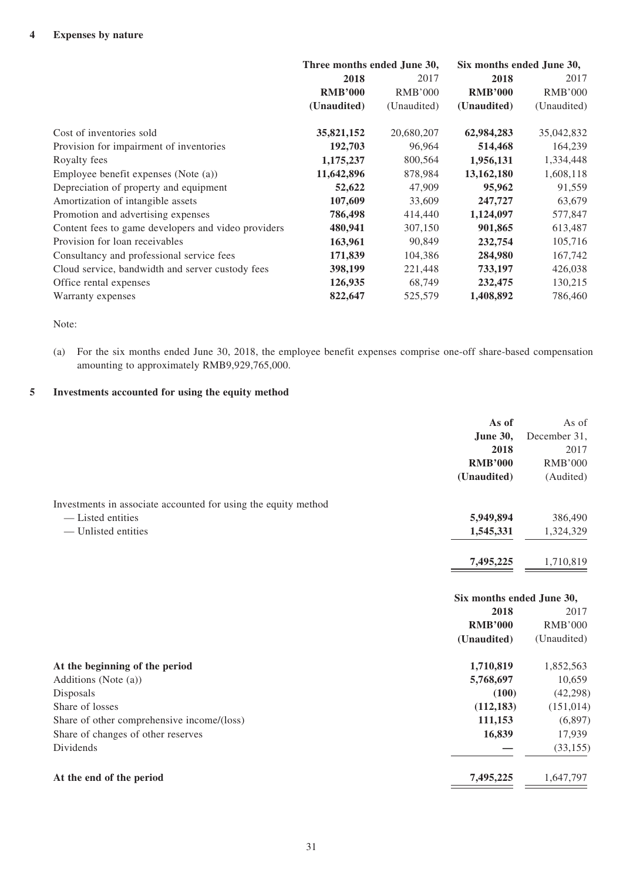|                                                     | Three months ended June 30, |                | Six months ended June 30, |                |
|-----------------------------------------------------|-----------------------------|----------------|---------------------------|----------------|
|                                                     | 2018                        | 2017           | 2018                      | 2017           |
|                                                     | <b>RMB'000</b>              | <b>RMB'000</b> | <b>RMB'000</b>            | <b>RMB'000</b> |
|                                                     | (Unaudited)                 | (Unaudited)    | (Unaudited)               | (Unaudited)    |
| Cost of inventories sold                            | 35,821,152                  | 20,680,207     | 62,984,283                | 35,042,832     |
| Provision for impairment of inventories             | 192,703                     | 96,964         | 514,468                   | 164,239        |
| Royalty fees                                        | 1,175,237                   | 800,564        | 1,956,131                 | 1,334,448      |
| Employee benefit expenses (Note (a))                | 11,642,896                  | 878,984        | 13,162,180                | 1,608,118      |
| Depreciation of property and equipment              | 52,622                      | 47,909         | 95,962                    | 91,559         |
| Amortization of intangible assets                   | 107,609                     | 33,609         | 247,727                   | 63,679         |
| Promotion and advertising expenses                  | 786,498                     | 414,440        | 1,124,097                 | 577,847        |
| Content fees to game developers and video providers | 480,941                     | 307,150        | 901,865                   | 613,487        |
| Provision for loan receivables                      | 163,961                     | 90,849         | 232,754                   | 105,716        |
| Consultancy and professional service fees           | 171,839                     | 104,386        | 284,980                   | 167,742        |
| Cloud service, bandwidth and server custody fees    | 398,199                     | 221,448        | 733,197                   | 426,038        |
| Office rental expenses                              | 126,935                     | 68,749         | 232,475                   | 130,215        |
| Warranty expenses                                   | 822,647                     | 525,579        | 1,408,892                 | 786,460        |

Note:

(a) For the six months ended June 30, 2018, the employee benefit expenses comprise one-off share-based compensation amounting to approximately RMB9,929,765,000.

#### **5 Investments accounted for using the equity method**

|                                                                | As of                     | As of          |
|----------------------------------------------------------------|---------------------------|----------------|
|                                                                | <b>June 30,</b>           | December 31,   |
|                                                                | 2018                      | 2017           |
|                                                                | <b>RMB'000</b>            | <b>RMB'000</b> |
|                                                                | (Unaudited)               | (Audited)      |
| Investments in associate accounted for using the equity method |                           |                |
| - Listed entities                                              | 5,949,894                 | 386,490        |
| - Unlisted entities                                            | 1,545,331                 | 1,324,329      |
|                                                                | 7,495,225                 | 1,710,819      |
|                                                                | Six months ended June 30, |                |
|                                                                | 2018                      | 2017           |
|                                                                | <b>RMB'000</b>            | <b>RMB'000</b> |
|                                                                | (Unaudited)               | (Unaudited)    |
| At the beginning of the period                                 | 1,710,819                 | 1,852,563      |
| Additions (Note (a))                                           | 5,768,697                 | 10,659         |
| Disposals                                                      | (100)                     | (42, 298)      |
| Share of losses                                                | (112, 183)                | (151, 014)     |
| Share of other comprehensive income/(loss)                     | 111,153                   | (6,897)        |
| Share of changes of other reserves                             | 16,839                    | 17,939         |
| Dividends                                                      |                           | (33, 155)      |
| At the end of the period                                       | 7,495,225                 | 1,647,797      |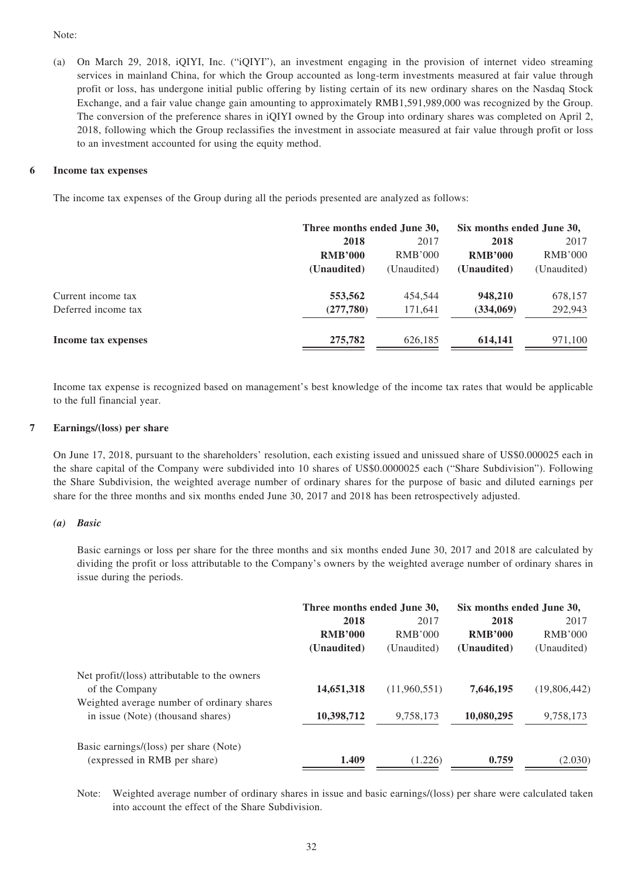#### Note:

(a) On March 29, 2018, iQIYI, Inc. ("iQIYI"), an investment engaging in the provision of internet video streaming services in mainland China, for which the Group accounted as long-term investments measured at fair value through profit or loss, has undergone initial public offering by listing certain of its new ordinary shares on the Nasdaq Stock Exchange, and a fair value change gain amounting to approximately RMB1,591,989,000 was recognized by the Group. The conversion of the preference shares in iQIYI owned by the Group into ordinary shares was completed on April 2, 2018, following which the Group reclassifies the investment in associate measured at fair value through profit or loss to an investment accounted for using the equity method.

#### **6 Income tax expenses**

The income tax expenses of the Group during all the periods presented are analyzed as follows:

|                     | Three months ended June 30, | Six months ended June 30, |                |                |
|---------------------|-----------------------------|---------------------------|----------------|----------------|
|                     | 2018                        | 2017                      | 2018           | 2017           |
|                     | <b>RMB'000</b>              | RMB'000                   | <b>RMB'000</b> | <b>RMB'000</b> |
|                     | (Unaudited)                 | (Unaudited)               | (Unaudited)    | (Unaudited)    |
| Current income tax  | 553,562                     | 454,544                   | 948,210        | 678,157        |
| Deferred income tax | (277,780)                   | 171,641                   | (334,069)      | 292,943        |
| Income tax expenses | 275,782                     | 626,185                   | 614.141        | 971,100        |

Income tax expense is recognized based on management's best knowledge of the income tax rates that would be applicable to the full financial year.

#### **7 Earnings/(loss) per share**

On June 17, 2018, pursuant to the shareholders' resolution, each existing issued and unissued share of US\$0.000025 each in the share capital of the Company were subdivided into 10 shares of US\$0.0000025 each ("Share Subdivision"). Following the Share Subdivision, the weighted average number of ordinary shares for the purpose of basic and diluted earnings per share for the three months and six months ended June 30, 2017 and 2018 has been retrospectively adjusted.

#### *(a) Basic*

Basic earnings or loss per share for the three months and six months ended June 30, 2017 and 2018 are calculated by dividing the profit or loss attributable to the Company's owners by the weighted average number of ordinary shares in issue during the periods.

|                                                                                 | Three months ended June 30, |              | Six months ended June 30, |                |
|---------------------------------------------------------------------------------|-----------------------------|--------------|---------------------------|----------------|
|                                                                                 | 2018                        | 2017         | 2018                      | 2017           |
|                                                                                 | <b>RMB'000</b>              | RMB'000      | <b>RMB'000</b>            | <b>RMB'000</b> |
|                                                                                 | (Unaudited)                 | (Unaudited)  | (Unaudited)               | (Unaudited)    |
| Net profit/(loss) attributable to the owners<br>of the Company                  | 14,651,318                  | (11,960,551) | 7,646,195                 | (19,806,442)   |
| Weighted average number of ordinary shares<br>in issue (Note) (thousand shares) | 10,398,712                  | 9,758,173    | 10,080,295                | 9,758,173      |
| Basic earnings/(loss) per share (Note)<br>(expressed in RMB per share)          | 1.409                       | (1.226)      | 0.759                     | (2.030)        |

Note: Weighted average number of ordinary shares in issue and basic earnings/(loss) per share were calculated taken into account the effect of the Share Subdivision.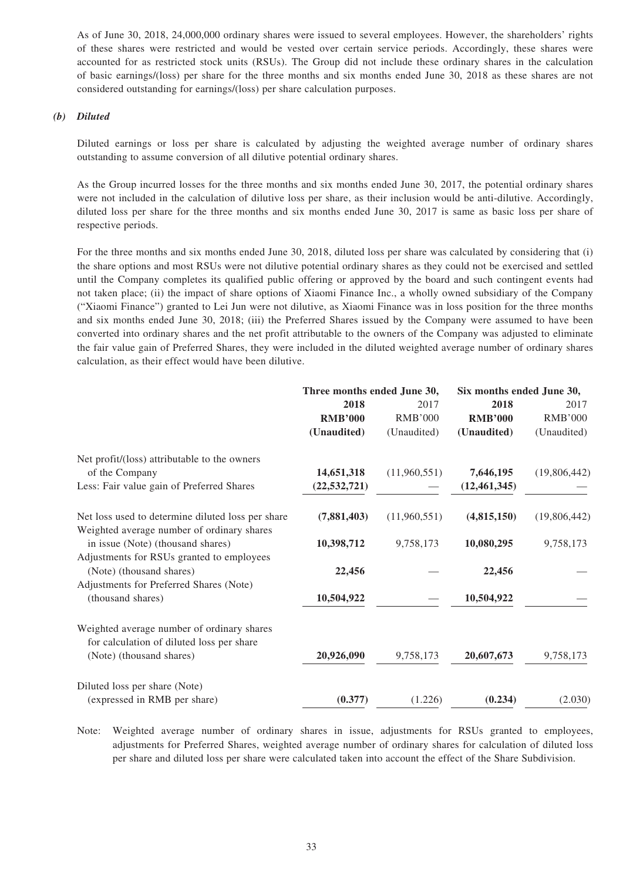As of June 30, 2018, 24,000,000 ordinary shares were issued to several employees. However, the shareholders' rights of these shares were restricted and would be vested over certain service periods. Accordingly, these shares were accounted for as restricted stock units (RSUs). The Group did not include these ordinary shares in the calculation of basic earnings/(loss) per share for the three months and six months ended June 30, 2018 as these shares are not considered outstanding for earnings/(loss) per share calculation purposes.

#### *(b) Diluted*

Diluted earnings or loss per share is calculated by adjusting the weighted average number of ordinary shares outstanding to assume conversion of all dilutive potential ordinary shares.

As the Group incurred losses for the three months and six months ended June 30, 2017, the potential ordinary shares were not included in the calculation of dilutive loss per share, as their inclusion would be anti-dilutive. Accordingly, diluted loss per share for the three months and six months ended June 30, 2017 is same as basic loss per share of respective periods.

For the three months and six months ended June 30, 2018, diluted loss per share was calculated by considering that (i) the share options and most RSUs were not dilutive potential ordinary shares as they could not be exercised and settled until the Company completes its qualified public offering or approved by the board and such contingent events had not taken place; (ii) the impact of share options of Xiaomi Finance Inc., a wholly owned subsidiary of the Company ("Xiaomi Finance") granted to Lei Jun were not dilutive, as Xiaomi Finance was in loss position for the three months and six months ended June 30, 2018; (iii) the Preferred Shares issued by the Company were assumed to have been converted into ordinary shares and the net profit attributable to the owners of the Company was adjusted to eliminate the fair value gain of Preferred Shares, they were included in the diluted weighted average number of ordinary shares calculation, as their effect would have been dilutive.

|                                                   | Three months ended June 30, |                | Six months ended June 30, |                |      |
|---------------------------------------------------|-----------------------------|----------------|---------------------------|----------------|------|
|                                                   | 2018                        |                | 2017                      | 2018           | 2017 |
|                                                   | <b>RMB'000</b>              | <b>RMB'000</b> | <b>RMB'000</b>            | <b>RMB'000</b> |      |
|                                                   | (Unaudited)                 | (Unaudited)    | (Unaudited)               | (Unaudited)    |      |
| Net profit/(loss) attributable to the owners      |                             |                |                           |                |      |
| of the Company                                    | 14,651,318                  | (11,960,551)   | 7,646,195                 | (19,806,442)   |      |
| Less: Fair value gain of Preferred Shares         | (22, 532, 721)              |                | (12, 461, 345)            |                |      |
| Net loss used to determine diluted loss per share | (7,881,403)                 | (11,960,551)   | (4,815,150)               | (19,806,442)   |      |
| Weighted average number of ordinary shares        |                             |                |                           |                |      |
| in issue (Note) (thousand shares)                 | 10,398,712                  | 9,758,173      | 10,080,295                | 9,758,173      |      |
| Adjustments for RSUs granted to employees         |                             |                |                           |                |      |
| (Note) (thousand shares)                          | 22,456                      |                | 22,456                    |                |      |
| Adjustments for Preferred Shares (Note)           |                             |                |                           |                |      |
| (thousand shares)                                 | 10,504,922                  |                | 10,504,922                |                |      |
| Weighted average number of ordinary shares        |                             |                |                           |                |      |
| for calculation of diluted loss per share         |                             |                |                           |                |      |
| (Note) (thousand shares)                          | 20,926,090                  | 9,758,173      | 20,607,673                | 9,758,173      |      |
| Diluted loss per share (Note)                     |                             |                |                           |                |      |
| (expressed in RMB per share)                      | (0.377)                     | (1.226)        | (0.234)                   | (2.030)        |      |

Note: Weighted average number of ordinary shares in issue, adjustments for RSUs granted to employees, adjustments for Preferred Shares, weighted average number of ordinary shares for calculation of diluted loss per share and diluted loss per share were calculated taken into account the effect of the Share Subdivision.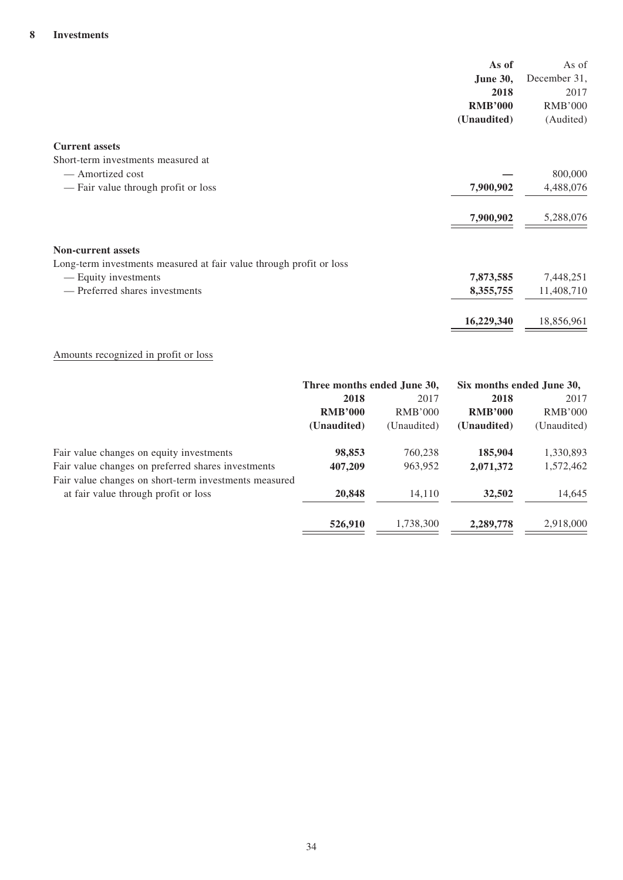|                                                                     | As of           | As of          |
|---------------------------------------------------------------------|-----------------|----------------|
|                                                                     | <b>June 30,</b> | December 31,   |
|                                                                     | 2018            | 2017           |
|                                                                     | <b>RMB'000</b>  | <b>RMB'000</b> |
|                                                                     | (Unaudited)     | (Audited)      |
| <b>Current assets</b>                                               |                 |                |
| Short-term investments measured at                                  |                 |                |
| — Amortized cost                                                    |                 | 800,000        |
| — Fair value through profit or loss                                 | 7,900,902       | 4,488,076      |
|                                                                     | 7,900,902       | 5,288,076      |
| <b>Non-current assets</b>                                           |                 |                |
| Long-term investments measured at fair value through profit or loss |                 |                |
| — Equity investments                                                | 7,873,585       | 7,448,251      |
| — Preferred shares investments                                      | 8,355,755       | 11,408,710     |
|                                                                     | 16,229,340      | 18,856,961     |

## Amounts recognized in profit or loss

|                                                       | Three months ended June 30, |                | Six months ended June 30, |                |
|-------------------------------------------------------|-----------------------------|----------------|---------------------------|----------------|
|                                                       | 2018                        | 2017           | 2018                      | 2017           |
|                                                       | <b>RMB'000</b>              | <b>RMB'000</b> | <b>RMB'000</b>            | <b>RMB'000</b> |
|                                                       | (Unaudited)                 | (Unaudited)    | (Unaudited)               | (Unaudited)    |
| Fair value changes on equity investments              | 98,853                      | 760,238        | 185,904                   | 1,330,893      |
| Fair value changes on preferred shares investments    | 407,209                     | 963,952        | 2,071,372                 | 1,572,462      |
| Fair value changes on short-term investments measured |                             |                |                           |                |
| at fair value through profit or loss                  | 20,848                      | 14.110         | 32,502                    | 14,645         |
|                                                       | 526,910                     | 1,738,300      | 2,289,778                 | 2,918,000      |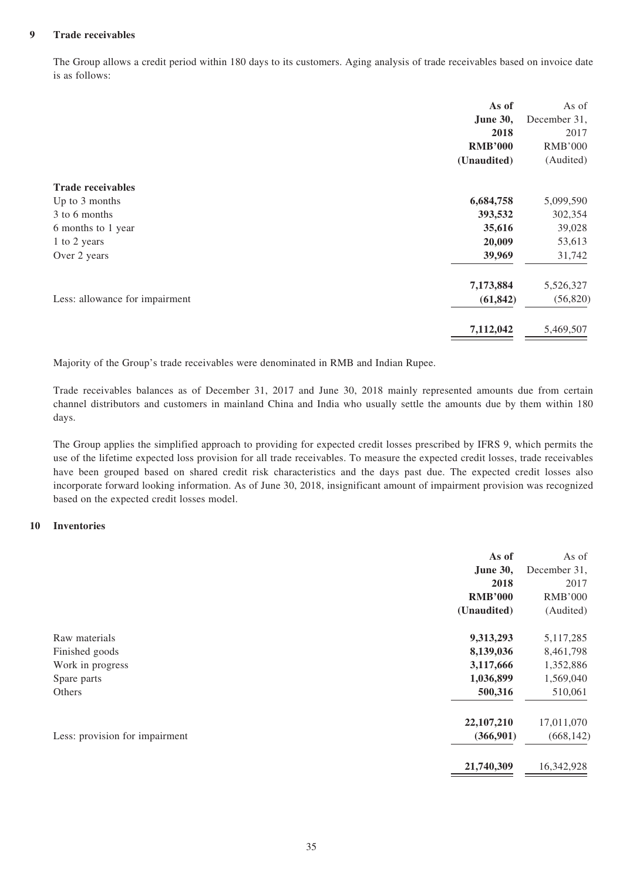#### **9 Trade receivables**

The Group allows a credit period within 180 days to its customers. Aging analysis of trade receivables based on invoice date is as follows:

| As of                                       | As of          |
|---------------------------------------------|----------------|
| June 30,                                    | December 31,   |
| 2018                                        | 2017           |
| <b>RMB'000</b>                              | <b>RMB'000</b> |
| (Unaudited)                                 | (Audited)      |
| <b>Trade receivables</b>                    |                |
| 6,684,758<br>Up to 3 months                 | 5,099,590      |
| 3 to 6 months<br>393,532                    | 302,354        |
| 35,616<br>6 months to 1 year                | 39,028         |
| 20,009<br>1 to 2 years                      | 53,613         |
| 39,969<br>Over 2 years                      | 31,742         |
| 7,173,884                                   | 5,526,327      |
| Less: allowance for impairment<br>(61, 842) | (56, 820)      |
| 7,112,042                                   | 5,469,507      |

Majority of the Group's trade receivables were denominated in RMB and Indian Rupee.

Trade receivables balances as of December 31, 2017 and June 30, 2018 mainly represented amounts due from certain channel distributors and customers in mainland China and India who usually settle the amounts due by them within 180 days.

The Group applies the simplified approach to providing for expected credit losses prescribed by IFRS 9, which permits the use of the lifetime expected loss provision for all trade receivables. To measure the expected credit losses, trade receivables have been grouped based on shared credit risk characteristics and the days past due. The expected credit losses also incorporate forward looking information. As of June 30, 2018, insignificant amount of impairment provision was recognized based on the expected credit losses model.

#### **10 Inventories**

|                                | As of           | As of          |
|--------------------------------|-----------------|----------------|
|                                | <b>June 30,</b> | December 31,   |
|                                | 2018            | 2017           |
|                                | <b>RMB'000</b>  | <b>RMB'000</b> |
|                                | (Unaudited)     | (Audited)      |
| Raw materials                  | 9,313,293       | 5,117,285      |
| Finished goods                 | 8,139,036       | 8,461,798      |
| Work in progress               | 3,117,666       | 1,352,886      |
| Spare parts                    | 1,036,899       | 1,569,040      |
| Others                         | 500,316         | 510,061        |
|                                | 22, 107, 210    | 17,011,070     |
| Less: provision for impairment | (366,901)       | (668, 142)     |
|                                | 21,740,309      | 16,342,928     |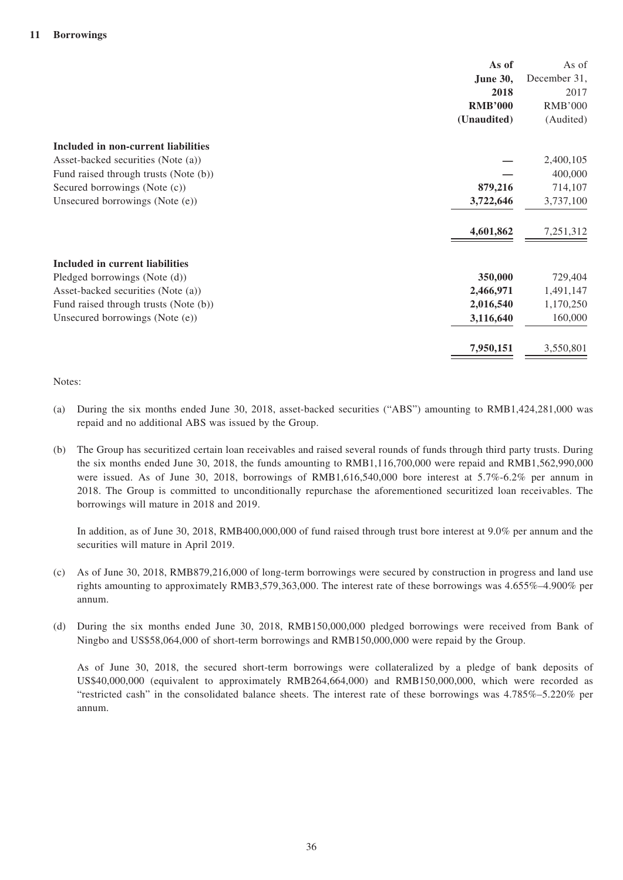| As of                                              | As of          |
|----------------------------------------------------|----------------|
| June 30,                                           | December 31,   |
| 2018                                               | 2017           |
| <b>RMB'000</b>                                     | <b>RMB'000</b> |
| (Unaudited)                                        | (Audited)      |
| <b>Included in non-current liabilities</b>         |                |
| Asset-backed securities (Note (a))                 | 2,400,105      |
| Fund raised through trusts (Note (b))              | 400,000        |
| 879,216<br>Secured borrowings (Note (c))           | 714,107        |
| Unsecured borrowings (Note (e))<br>3,722,646       | 3,737,100      |
| 4,601,862                                          | 7,251,312      |
| Included in current liabilities                    |                |
| Pledged borrowings (Note (d))<br>350,000           | 729,404        |
| 2,466,971<br>Asset-backed securities (Note (a))    | 1,491,147      |
| 2,016,540<br>Fund raised through trusts (Note (b)) | 1,170,250      |
| Unsecured borrowings (Note (e))<br>3,116,640       | 160,000        |
| 7,950,151                                          | 3,550,801      |

#### Notes:

- (a) During the six months ended June 30, 2018, asset-backed securities ("ABS") amounting to RMB1,424,281,000 was repaid and no additional ABS was issued by the Group.
- (b) The Group has securitized certain loan receivables and raised several rounds of funds through third party trusts. During the six months ended June 30, 2018, the funds amounting to RMB1,116,700,000 were repaid and RMB1,562,990,000 were issued. As of June 30, 2018, borrowings of RMB1,616,540,000 bore interest at 5.7%-6.2% per annum in 2018. The Group is committed to unconditionally repurchase the aforementioned securitized loan receivables. The borrowings will mature in 2018 and 2019.

In addition, as of June 30, 2018, RMB400,000,000 of fund raised through trust bore interest at 9.0% per annum and the securities will mature in April 2019.

- (c) As of June 30, 2018, RMB879,216,000 of long-term borrowings were secured by construction in progress and land use rights amounting to approximately RMB3,579,363,000. The interest rate of these borrowings was 4.655%–4.900% per annum.
- (d) During the six months ended June 30, 2018, RMB150,000,000 pledged borrowings were received from Bank of Ningbo and US\$58,064,000 of short-term borrowings and RMB150,000,000 were repaid by the Group.

As of June 30, 2018, the secured short-term borrowings were collateralized by a pledge of bank deposits of US\$40,000,000 (equivalent to approximately RMB264,664,000) and RMB150,000,000, which were recorded as "restricted cash" in the consolidated balance sheets. The interest rate of these borrowings was 4.785%–5.220% per annum.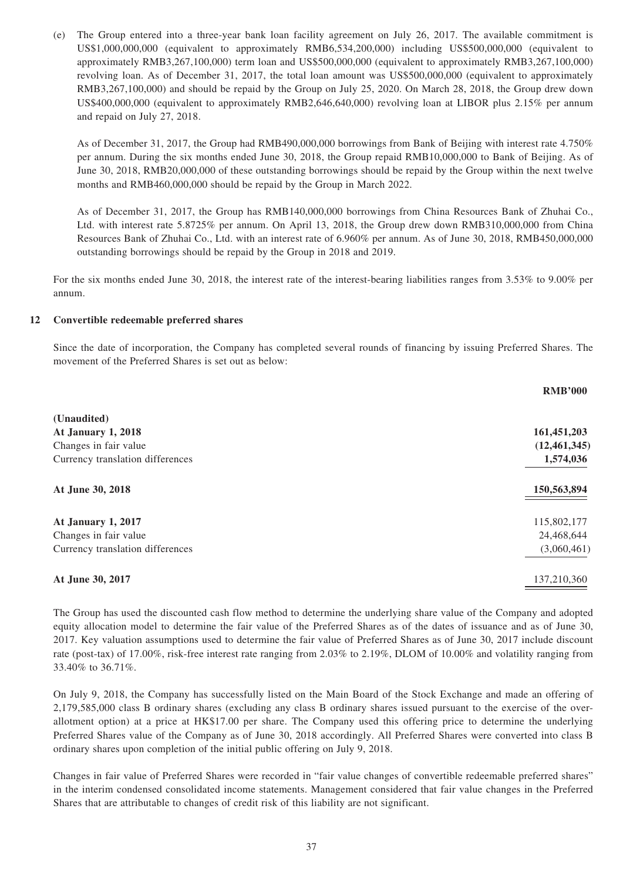(e) The Group entered into a three-year bank loan facility agreement on July 26, 2017. The available commitment is US\$1,000,000,000 (equivalent to approximately RMB6,534,200,000) including US\$500,000,000 (equivalent to approximately RMB3,267,100,000) term loan and US\$500,000,000 (equivalent to approximately RMB3,267,100,000) revolving loan. As of December 31, 2017, the total loan amount was US\$500,000,000 (equivalent to approximately RMB3,267,100,000) and should be repaid by the Group on July 25, 2020. On March 28, 2018, the Group drew down US\$400,000,000 (equivalent to approximately RMB2,646,640,000) revolving loan at LIBOR plus 2.15% per annum and repaid on July 27, 2018.

As of December 31, 2017, the Group had RMB490,000,000 borrowings from Bank of Beijing with interest rate 4.750% per annum. During the six months ended June 30, 2018, the Group repaid RMB10,000,000 to Bank of Beijing. As of June 30, 2018, RMB20,000,000 of these outstanding borrowings should be repaid by the Group within the next twelve months and RMB460,000,000 should be repaid by the Group in March 2022.

As of December 31, 2017, the Group has RMB140,000,000 borrowings from China Resources Bank of Zhuhai Co., Ltd. with interest rate 5.8725% per annum. On April 13, 2018, the Group drew down RMB310,000,000 from China Resources Bank of Zhuhai Co., Ltd. with an interest rate of 6.960% per annum. As of June 30, 2018, RMB450,000,000 outstanding borrowings should be repaid by the Group in 2018 and 2019.

For the six months ended June 30, 2018, the interest rate of the interest-bearing liabilities ranges from 3.53% to 9.00% per annum.

#### **12 Convertible redeemable preferred shares**

Since the date of incorporation, the Company has completed several rounds of financing by issuing Preferred Shares. The movement of the Preferred Shares is set out as below:

|                                  | <b>RMB'000</b> |
|----------------------------------|----------------|
| (Unaudited)                      |                |
| <b>At January 1, 2018</b>        | 161,451,203    |
| Changes in fair value            | (12, 461, 345) |
| Currency translation differences | 1,574,036      |
| At June 30, 2018                 | 150,563,894    |
| At January 1, 2017               | 115,802,177    |
| Changes in fair value            | 24,468,644     |
| Currency translation differences | (3,060,461)    |
| At June 30, 2017                 | 137,210,360    |

The Group has used the discounted cash flow method to determine the underlying share value of the Company and adopted equity allocation model to determine the fair value of the Preferred Shares as of the dates of issuance and as of June 30, 2017. Key valuation assumptions used to determine the fair value of Preferred Shares as of June 30, 2017 include discount rate (post-tax) of 17.00%, risk-free interest rate ranging from 2.03% to 2.19%, DLOM of 10.00% and volatility ranging from 33.40% to 36.71%.

On July 9, 2018, the Company has successfully listed on the Main Board of the Stock Exchange and made an offering of 2,179,585,000 class B ordinary shares (excluding any class B ordinary shares issued pursuant to the exercise of the overallotment option) at a price at HK\$17.00 per share. The Company used this offering price to determine the underlying Preferred Shares value of the Company as of June 30, 2018 accordingly. All Preferred Shares were converted into class B ordinary shares upon completion of the initial public offering on July 9, 2018.

Changes in fair value of Preferred Shares were recorded in "fair value changes of convertible redeemable preferred shares" in the interim condensed consolidated income statements. Management considered that fair value changes in the Preferred Shares that are attributable to changes of credit risk of this liability are not significant.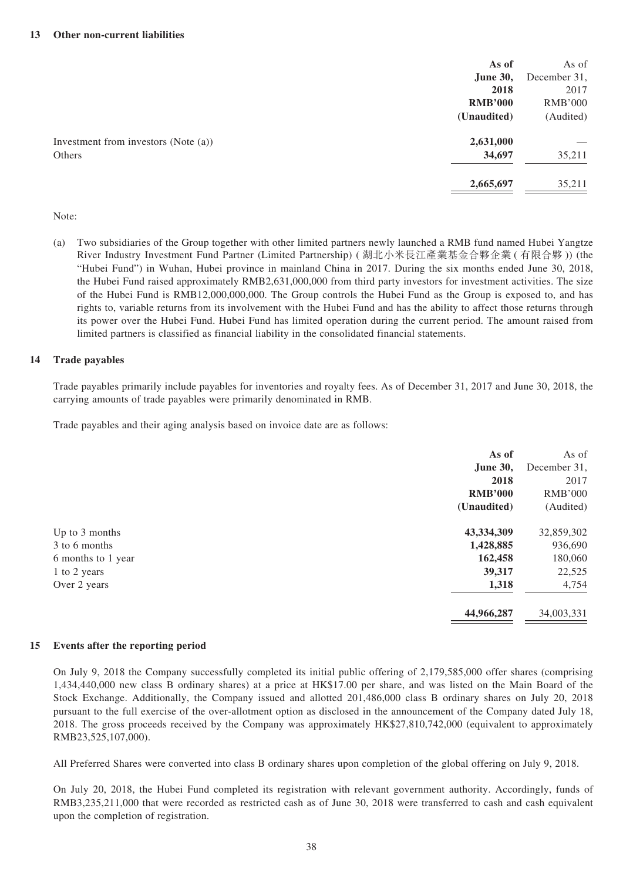|                                      | As of           | As of          |
|--------------------------------------|-----------------|----------------|
|                                      | <b>June 30,</b> | December 31,   |
|                                      | 2018            | 2017           |
|                                      | <b>RMB'000</b>  | <b>RMB'000</b> |
|                                      | (Unaudited)     | (Audited)      |
| Investment from investors (Note (a)) | 2,631,000       |                |
| Others                               | 34,697          | 35,211         |
|                                      | 2,665,697       | 35,211         |

#### Note:

(a) Two subsidiaries of the Group together with other limited partners newly launched a RMB fund named Hubei Yangtze River Industry Investment Fund Partner (Limited Partnership) ( 湖北小米長江產業基金合夥企業 ( 有限合夥 )) (the "Hubei Fund") in Wuhan, Hubei province in mainland China in 2017. During the six months ended June 30, 2018, the Hubei Fund raised approximately RMB2,631,000,000 from third party investors for investment activities. The size of the Hubei Fund is RMB12,000,000,000. The Group controls the Hubei Fund as the Group is exposed to, and has rights to, variable returns from its involvement with the Hubei Fund and has the ability to affect those returns through its power over the Hubei Fund. Hubei Fund has limited operation during the current period. The amount raised from limited partners is classified as financial liability in the consolidated financial statements.

#### **14 Trade payables**

Trade payables primarily include payables for inventories and royalty fees. As of December 31, 2017 and June 30, 2018, the carrying amounts of trade payables were primarily denominated in RMB.

Trade payables and their aging analysis based on invoice date are as follows:

|                    | As of           | As of          |
|--------------------|-----------------|----------------|
|                    | <b>June 30,</b> | December 31,   |
|                    | 2018            | 2017           |
|                    | <b>RMB'000</b>  | <b>RMB'000</b> |
|                    | (Unaudited)     | (Audited)      |
| Up to 3 months     | 43,334,309      | 32,859,302     |
| 3 to 6 months      | 1,428,885       | 936,690        |
| 6 months to 1 year | 162,458         | 180,060        |
| 1 to 2 years       | 39,317          | 22,525         |
| Over 2 years       | 1,318           | 4,754          |
|                    | 44,966,287      | 34,003,331     |

#### **15 Events after the reporting period**

On July 9, 2018 the Company successfully completed its initial public offering of 2,179,585,000 offer shares (comprising 1,434,440,000 new class B ordinary shares) at a price at HK\$17.00 per share, and was listed on the Main Board of the Stock Exchange. Additionally, the Company issued and allotted 201,486,000 class B ordinary shares on July 20, 2018 pursuant to the full exercise of the over-allotment option as disclosed in the announcement of the Company dated July 18, 2018. The gross proceeds received by the Company was approximately HK\$27,810,742,000 (equivalent to approximately RMB23,525,107,000).

All Preferred Shares were converted into class B ordinary shares upon completion of the global offering on July 9, 2018.

On July 20, 2018, the Hubei Fund completed its registration with relevant government authority. Accordingly, funds of RMB3,235,211,000 that were recorded as restricted cash as of June 30, 2018 were transferred to cash and cash equivalent upon the completion of registration.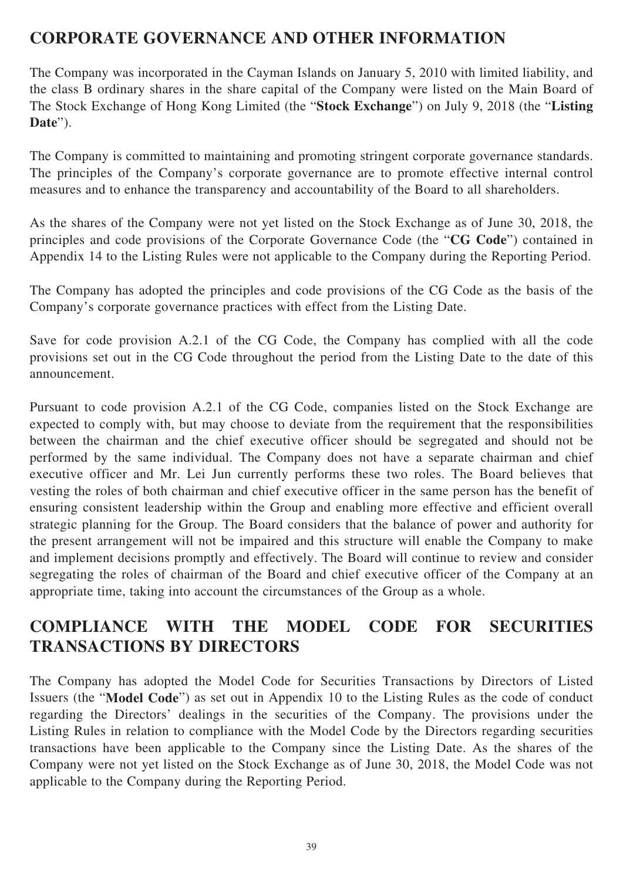# **CORPORATE GOVERNANCE AND OTHER INFORMATION**

The Company was incorporated in the Cayman Islands on January 5, 2010 with limited liability, and the class B ordinary shares in the share capital of the Company were listed on the Main Board of The Stock Exchange of Hong Kong Limited (the "**Stock Exchange**") on July 9, 2018 (the "**Listing Date**").

The Company is committed to maintaining and promoting stringent corporate governance standards. The principles of the Company's corporate governance are to promote effective internal control measures and to enhance the transparency and accountability of the Board to all shareholders.

As the shares of the Company were not yet listed on the Stock Exchange as of June 30, 2018, the principles and code provisions of the Corporate Governance Code (the "**CG Code**") contained in Appendix 14 to the Listing Rules were not applicable to the Company during the Reporting Period.

The Company has adopted the principles and code provisions of the CG Code as the basis of the Company's corporate governance practices with effect from the Listing Date.

Save for code provision A.2.1 of the CG Code, the Company has complied with all the code provisions set out in the CG Code throughout the period from the Listing Date to the date of this announcement.

Pursuant to code provision A.2.1 of the CG Code, companies listed on the Stock Exchange are expected to comply with, but may choose to deviate from the requirement that the responsibilities between the chairman and the chief executive officer should be segregated and should not be performed by the same individual. The Company does not have a separate chairman and chief executive officer and Mr. Lei Jun currently performs these two roles. The Board believes that vesting the roles of both chairman and chief executive officer in the same person has the benefit of ensuring consistent leadership within the Group and enabling more effective and efficient overall strategic planning for the Group. The Board considers that the balance of power and authority for the present arrangement will not be impaired and this structure will enable the Company to make and implement decisions promptly and effectively. The Board will continue to review and consider segregating the roles of chairman of the Board and chief executive officer of the Company at an appropriate time, taking into account the circumstances of the Group as a whole.

# **COMPLIANCE WITH THE MODEL CODE FOR SECURITIES TRANSACTIONS BY DIRECTORS**

The Company has adopted the Model Code for Securities Transactions by Directors of Listed Issuers (the "**Model Code**") as set out in Appendix 10 to the Listing Rules as the code of conduct regarding the Directors' dealings in the securities of the Company. The provisions under the Listing Rules in relation to compliance with the Model Code by the Directors regarding securities transactions have been applicable to the Company since the Listing Date. As the shares of the Company were not yet listed on the Stock Exchange as of June 30, 2018, the Model Code was not applicable to the Company during the Reporting Period.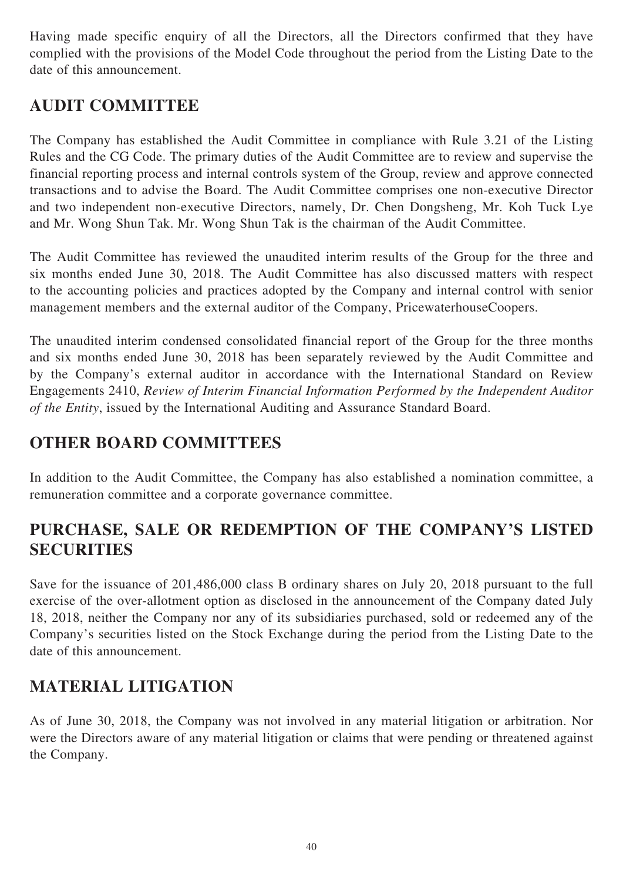Having made specific enquiry of all the Directors, all the Directors confirmed that they have complied with the provisions of the Model Code throughout the period from the Listing Date to the date of this announcement.

# **AUDIT COMMITTEE**

The Company has established the Audit Committee in compliance with Rule 3.21 of the Listing Rules and the CG Code. The primary duties of the Audit Committee are to review and supervise the financial reporting process and internal controls system of the Group, review and approve connected transactions and to advise the Board. The Audit Committee comprises one non-executive Director and two independent non-executive Directors, namely, Dr. Chen Dongsheng, Mr. Koh Tuck Lye and Mr. Wong Shun Tak. Mr. Wong Shun Tak is the chairman of the Audit Committee.

The Audit Committee has reviewed the unaudited interim results of the Group for the three and six months ended June 30, 2018. The Audit Committee has also discussed matters with respect to the accounting policies and practices adopted by the Company and internal control with senior management members and the external auditor of the Company, PricewaterhouseCoopers.

The unaudited interim condensed consolidated financial report of the Group for the three months and six months ended June 30, 2018 has been separately reviewed by the Audit Committee and by the Company's external auditor in accordance with the International Standard on Review Engagements 2410, *Review of Interim Financial Information Performed by the Independent Auditor of the Entity*, issued by the International Auditing and Assurance Standard Board.

# **OTHER BOARD COMMITTEES**

In addition to the Audit Committee, the Company has also established a nomination committee, a remuneration committee and a corporate governance committee.

# **PURCHASE, SALE OR REDEMPTION OF THE COMPANY'S LISTED SECURITIES**

Save for the issuance of 201,486,000 class B ordinary shares on July 20, 2018 pursuant to the full exercise of the over-allotment option as disclosed in the announcement of the Company dated July 18, 2018, neither the Company nor any of its subsidiaries purchased, sold or redeemed any of the Company's securities listed on the Stock Exchange during the period from the Listing Date to the date of this announcement.

# **MATERIAL LITIGATION**

As of June 30, 2018, the Company was not involved in any material litigation or arbitration. Nor were the Directors aware of any material litigation or claims that were pending or threatened against the Company.